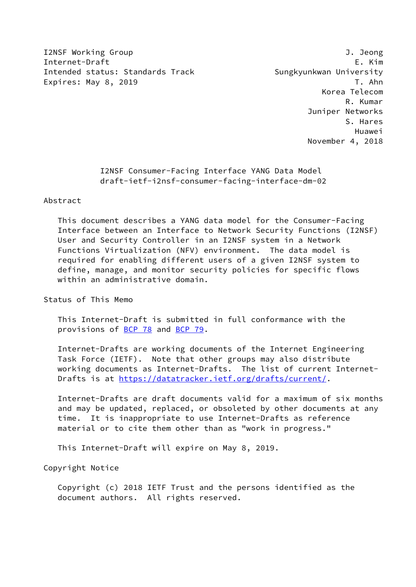I2NSF Working Group J. Jeong Internet-Draft E. Kim Intended status: Standards Track Sungkyunkwan University Expires: May 8, 2019 T. Ahn

 Korea Telecom R. Kumar Juniper Networks S. Hares Huawei November 4, 2018

> I2NSF Consumer-Facing Interface YANG Data Model draft-ietf-i2nsf-consumer-facing-interface-dm-02

### Abstract

 This document describes a YANG data model for the Consumer-Facing Interface between an Interface to Network Security Functions (I2NSF) User and Security Controller in an I2NSF system in a Network Functions Virtualization (NFV) environment. The data model is required for enabling different users of a given I2NSF system to define, manage, and monitor security policies for specific flows within an administrative domain.

Status of This Memo

 This Internet-Draft is submitted in full conformance with the provisions of [BCP 78](https://datatracker.ietf.org/doc/pdf/bcp78) and [BCP 79](https://datatracker.ietf.org/doc/pdf/bcp79).

 Internet-Drafts are working documents of the Internet Engineering Task Force (IETF). Note that other groups may also distribute working documents as Internet-Drafts. The list of current Internet- Drafts is at<https://datatracker.ietf.org/drafts/current/>.

 Internet-Drafts are draft documents valid for a maximum of six months and may be updated, replaced, or obsoleted by other documents at any time. It is inappropriate to use Internet-Drafts as reference material or to cite them other than as "work in progress."

This Internet-Draft will expire on May 8, 2019.

Copyright Notice

 Copyright (c) 2018 IETF Trust and the persons identified as the document authors. All rights reserved.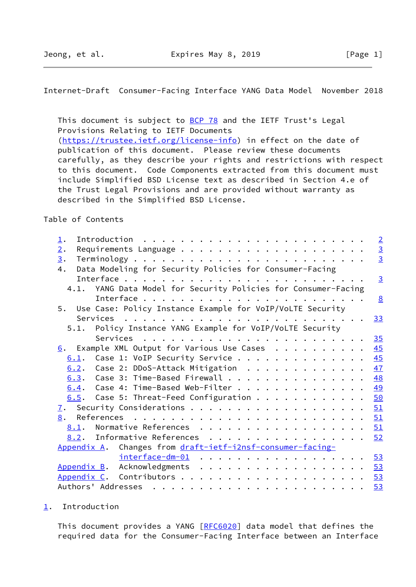<span id="page-1-1"></span>This document is subject to **[BCP 78](https://datatracker.ietf.org/doc/pdf/bcp78)** and the IETF Trust's Legal Provisions Relating to IETF Documents [\(https://trustee.ietf.org/license-info](https://trustee.ietf.org/license-info)) in effect on the date of publication of this document. Please review these documents carefully, as they describe your rights and restrictions with respect to this document. Code Components extracted from this document must include Simplified BSD License text as described in Section 4.e of the Trust Legal Provisions and are provided without warranty as described in the Simplified BSD License.

Table of Contents

| $\perp$ .         |                                                                | $\overline{2}$ |
|-------------------|----------------------------------------------------------------|----------------|
| 2.                |                                                                | $\frac{3}{2}$  |
| $\underline{3}$ . |                                                                |                |
| 4.                | Data Modeling for Security Policies for Consumer-Facing        |                |
|                   |                                                                | $\overline{3}$ |
|                   | 4.1. YANG Data Model for Security Policies for Consumer-Facing |                |
|                   |                                                                | 8              |
|                   | 5. Use Case: Policy Instance Example for VoIP/VoLTE Security   |                |
|                   |                                                                | 33             |
|                   | Policy Instance YANG Example for VoIP/VoLTE Security<br>5.1.   |                |
|                   |                                                                | 35             |
|                   | $6.$ Example XML Output for Various Use Cases                  | 45             |
|                   | Case 1: VoIP Security Service<br>6.1.                          | 45             |
|                   | $6.2$ . Case 2: DDoS-Attack Mitigation                         | 47             |
|                   | $6.3.$ Case 3: Time-Based Firewall                             | 48             |
|                   | $6.4$ . Case 4: Time-Based Web-Filter                          | 49             |
|                   | 6.5. Case 5: Threat-Feed Configuration                         | 50             |
| $\mathbf{I}$ .    |                                                                | 51             |
| 8.                |                                                                | 51             |
|                   | Normative References<br>8.1.                                   | 51             |
|                   | <u>8.2</u> . Informative References                            | 52             |
|                   | Changes from draft-ietf-i2nsf-consumer-facing-<br>Appendix A.  |                |
|                   | interface-dm-01                                                | $-53$          |
|                   | Appendix B. Acknowledgments                                    | 53             |
|                   |                                                                | 53             |
|                   |                                                                | 53             |

<span id="page-1-0"></span>[1](#page-1-0). Introduction

This document provides a YANG [[RFC6020](https://datatracker.ietf.org/doc/pdf/rfc6020)] data model that defines the required data for the Consumer-Facing Interface between an Interface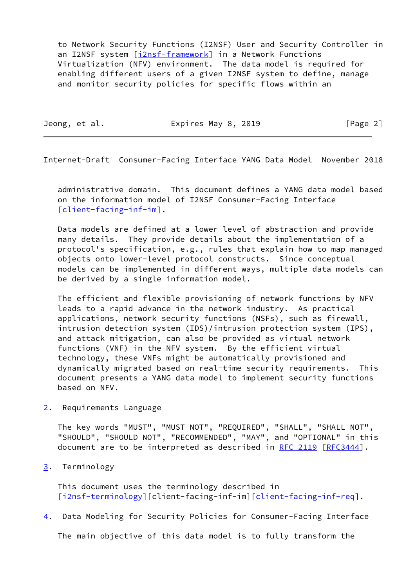to Network Security Functions (I2NSF) User and Security Controller in an I2NSF system [\[i2nsf-framework](#page-58-1)] in a Network Functions Virtualization (NFV) environment. The data model is required for enabling different users of a given I2NSF system to define, manage and monitor security policies for specific flows within an

Jeong, et al. Expires May 8, 2019 [Page 2]

<span id="page-2-1"></span>Internet-Draft Consumer-Facing Interface YANG Data Model November 2018

 administrative domain. This document defines a YANG data model based on the information model of I2NSF Consumer-Facing Interface [\[client-facing-inf-im](#page-58-2)].

 Data models are defined at a lower level of abstraction and provide many details. They provide details about the implementation of a protocol's specification, e.g., rules that explain how to map managed objects onto lower-level protocol constructs. Since conceptual models can be implemented in different ways, multiple data models can be derived by a single information model.

 The efficient and flexible provisioning of network functions by NFV leads to a rapid advance in the network industry. As practical applications, network security functions (NSFs), such as firewall, intrusion detection system (IDS)/intrusion protection system (IPS), and attack mitigation, can also be provided as virtual network functions (VNF) in the NFV system. By the efficient virtual technology, these VNFs might be automatically provisioned and dynamically migrated based on real-time security requirements. This document presents a YANG data model to implement security functions based on NFV.

<span id="page-2-0"></span>[2](#page-2-0). Requirements Language

 The key words "MUST", "MUST NOT", "REQUIRED", "SHALL", "SHALL NOT", "SHOULD", "SHOULD NOT", "RECOMMENDED", "MAY", and "OPTIONAL" in this document are to be interpreted as described in [RFC 2119](https://datatracker.ietf.org/doc/pdf/rfc2119) [\[RFC3444](https://datatracker.ietf.org/doc/pdf/rfc3444)].

<span id="page-2-2"></span>[3](#page-2-2). Terminology

 This document uses the terminology described in [\[i2nsf-terminology](#page-58-3)][client-facing-inf-im][\[client-facing-inf-req\]](#page-58-4).

<span id="page-2-3"></span>[4](#page-2-3). Data Modeling for Security Policies for Consumer-Facing Interface

The main objective of this data model is to fully transform the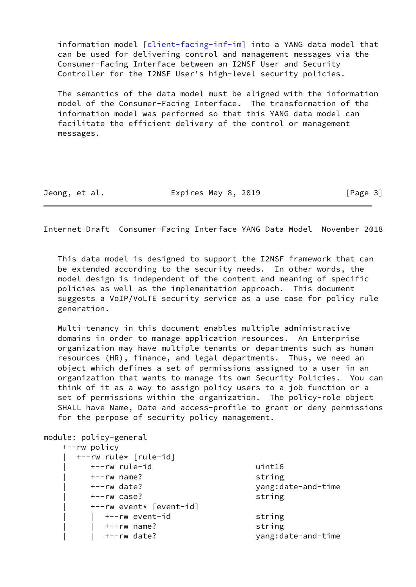information model [[client-facing-inf-im\]](#page-58-2) into a YANG data model that can be used for delivering control and management messages via the Consumer-Facing Interface between an I2NSF User and Security Controller for the I2NSF User's high-level security policies.

 The semantics of the data model must be aligned with the information model of the Consumer-Facing Interface. The transformation of the information model was performed so that this YANG data model can facilitate the efficient delivery of the control or management messages.

Jeong, et al. **Expires May 8, 2019** [Page 3]

Internet-Draft Consumer-Facing Interface YANG Data Model November 2018

 This data model is designed to support the I2NSF framework that can be extended according to the security needs. In other words, the model design is independent of the content and meaning of specific policies as well as the implementation approach. This document suggests a VoIP/VoLTE security service as a use case for policy rule generation.

 Multi-tenancy in this document enables multiple administrative domains in order to manage application resources. An Enterprise organization may have multiple tenants or departments such as human resources (HR), finance, and legal departments. Thus, we need an object which defines a set of permissions assigned to a user in an organization that wants to manage its own Security Policies. You can think of it as a way to assign policy users to a job function or a set of permissions within the organization. The policy-role object SHALL have Name, Date and access-profile to grant or deny permissions for the perpose of security policy management.

module: policy-general +--rw policy | +--rw rule\* [rule-id] | +--rw rule-id uint16 | +--rw name? string | +--rw date? yang:date-and-time | +--rw case? string | +--rw event\* [event-id] |  $+--rw$  event-id string | | +--rw name? string | | +--rw date? yang:date-and-time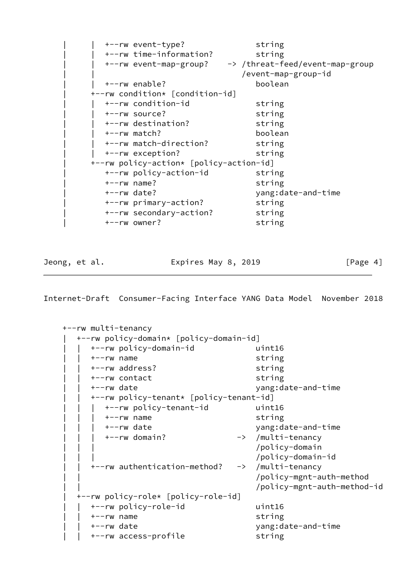| +--rw event-type?                       | string                          |
|-----------------------------------------|---------------------------------|
| +--rw time-information?                 | string                          |
| +--rw event-map-group?                  | -> /threat-feed/event-map-group |
|                                         | /event-map-group-id             |
| +--rw enable?                           | boolean                         |
| +--rw condition* [condition-id]         |                                 |
| +--rw condition-id                      | string                          |
| +--rw source?                           | string                          |
| +--rw destination?                      | string                          |
| +--rw match?                            | boolean                         |
| +--rw match-direction?                  | string                          |
| +--rw exception?                        | string                          |
| +--rw policy-action* [policy-action-id] |                                 |
| +--rw policy-action-id                  | string                          |
| $+--rw$ name?                           | string                          |
| +--rw date?                             | yang:date-and-time              |
| +--rw primary-action?                   | string                          |
| +--rw secondary-action?                 | string                          |
| +--rw owner?                            | string                          |

Jeong, et al. **Expires May 8, 2019** [Page 4]

```
 +--rw multi-tenancy
   | +--rw policy-domain* [policy-domain-id]
     | | +--rw policy-domain-id uint16
      | | +--rw name string
      | | +--rw address? string
      | | +--rw contact string
     | | +--rw date yang:date-and-time
      | | +--rw policy-tenant* [policy-tenant-id]
        | | | +--rw policy-tenant-id uint16
        | | | +--rw name string
        | | | +--rw date yang:date-and-time
        | | | +--rw domain? -> /multi-tenancy
                                   | | | /policy-domain
                                   | | | /policy-domain-id
      | | +--rw authentication-method? -> /multi-tenancy
                                   | | /policy-mgnt-auth-method
                                   | | /policy-mgnt-auth-method-id
   | +--rw policy-role* [policy-role-id]
     | | +--rw policy-role-id uint16
      | | +--rw name string
      | | +--rw date yang:date-and-time
     +--rw access-profile string
```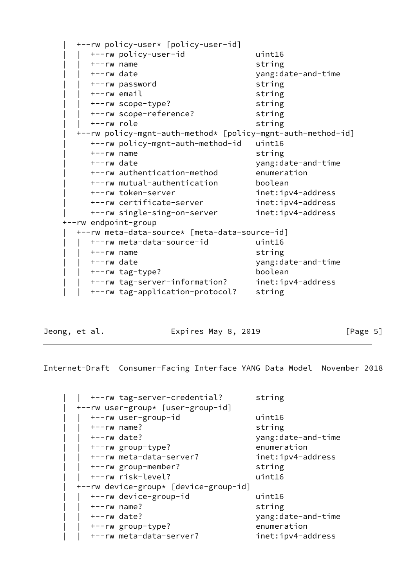|                      | +--rw policy-user* [policy-user-id]                         |                    |
|----------------------|-------------------------------------------------------------|--------------------|
|                      | +--rw policy-user-id                                        | uint16             |
| $+--rw$ name         |                                                             | string             |
| +--rw date           |                                                             | yang:date-and-time |
|                      | +--rw password                                              | string             |
|                      | +--rw email                                                 | string             |
|                      | +--rw scope-type?                                           | string             |
|                      | +--rw scope-reference?                                      | string             |
| +--rw role           |                                                             | string             |
|                      | +--rw policy-mgnt-auth-method* [policy-mgnt-auth-method-id] |                    |
|                      | +--rw policy-mgnt-auth-method-id                            | uint16             |
| $+--rw$ name         |                                                             | string             |
| +--rw date           |                                                             | yang:date-and-time |
|                      | +--rw authentication-method                                 | enumeration        |
|                      | +--rw mutual-authentication                                 | boolean            |
|                      | +--rw token-server                                          | inet:ipv4-address  |
|                      | +--rw certificate-server                                    | inet:ipv4-address  |
|                      | +--rw single-sing-on-server                                 | inet:ipv4-address  |
| +--rw endpoint-group |                                                             |                    |
|                      | +--rw meta-data-source* [meta-data-source-id]               |                    |
|                      | +--rw meta-data-source-id                                   | uint16             |
| $+--rw$ name         |                                                             | string             |
| +--rw date           |                                                             | yang:date-and-time |
|                      | +--rw tag-type?                                             | boolean            |
|                      | +--rw tag-server-information?                               | inet:ipv4-address  |
|                      | +--rw tag-application-protocol?                             | string             |
|                      |                                                             |                    |

Jeong, et al. **Expires May 8, 2019** [Page 5]

| +--rw tag-server-credential?          | string             |
|---------------------------------------|--------------------|
| +--rw user-group* [user-group-id]     |                    |
| +--rw user-group-id                   | uint16             |
| $+--rw$ name?                         | string             |
| $+--rw$ date?                         | yang:date-and-time |
| +--rw group-type?                     | enumeration        |
| +--rw meta-data-server?               | inet:ipv4-address  |
| +--rw group-member?                   | string             |
| +--rw risk-level?                     | uint16             |
| +--rw device-group* [device-group-id] |                    |
| +--rw device-group-id                 | uint16             |
| $+--rw$ name?                         | string             |
| $+--rw$ date?                         | yang:date-and-time |
| +--rw group-type?                     | enumeration        |
| +--rw meta-data-server?               | inet:ipv4-address  |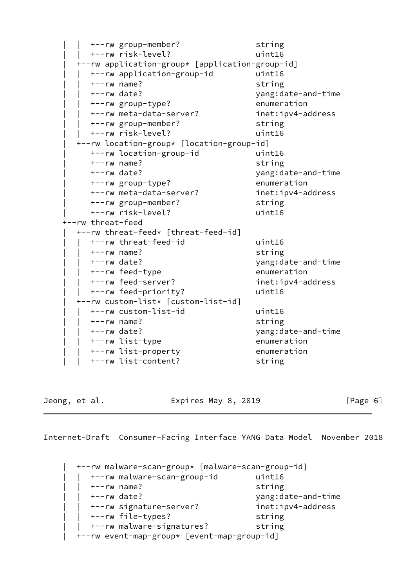| +--rw group-member?                             | string             |
|-------------------------------------------------|--------------------|
| +--rw risk-level?                               | uint16             |
| +--rw application-group* [application-group-id] |                    |
| +--rw application-group-id                      | uint16             |
| $+--rw$ name?                                   | string             |
| $+--rw$ date?                                   | yang:date-and-time |
| +--rw group-type?                               | enumeration        |
| +--rw meta-data-server?                         | inet:ipv4-address  |
| +--rw group-member?                             | string             |
| +--rw risk-level?                               | uint16             |
| +--rw location-group* [location-group-id]       |                    |
| +--rw location-group-id                         | uint16             |
| $+--rw$ name?                                   | string             |
| +--rw date?                                     | yang:date-and-time |
| +--rw group-type?                               | enumeration        |
| +--rw meta-data-server?                         | inet:ipv4-address  |
| +--rw group-member?                             | string             |
| +--rw risk-level?                               | uint16             |
| +--rw threat-feed                               |                    |
| +--rw threat-feed* [threat-feed-id]             |                    |
| +--rw threat-feed-id                            | uint16             |
| $+--rw$ name?                                   | string             |
| $+--rw$ date?                                   | yang:date-and-time |
| +--rw feed-type                                 | enumeration        |
| +--rw feed-server?                              | inet:ipv4-address  |
| +--rw feed-priority?                            | uint16             |
| +--rw custom-list* [custom-list-id]             |                    |
| +--rw custom-list-id                            | uint16             |
| $+--rw$ name?                                   | string             |
| $+--rw$ date?                                   | yang:date-and-time |
| +--rw list-type                                 | enumeration        |
| +--rw list-property                             | enumeration        |
| +--rw list-content?                             | string             |

Jeong, et al. Expires May 8, 2019 [Page 6]

Internet-Draft Consumer-Facing Interface YANG Data Model November 2018

 | +--rw malware-scan-group\* [malware-scan-group-id] | | +--rw malware-scan-group-id uint16 | | +--rw name? string | | +--rw date? yang:date-and-time | | +--rw signature-server? inet:ipv4-address | | +--rw file-types? string | | +--rw malware-signatures? string | +--rw event-map-group\* [event-map-group-id]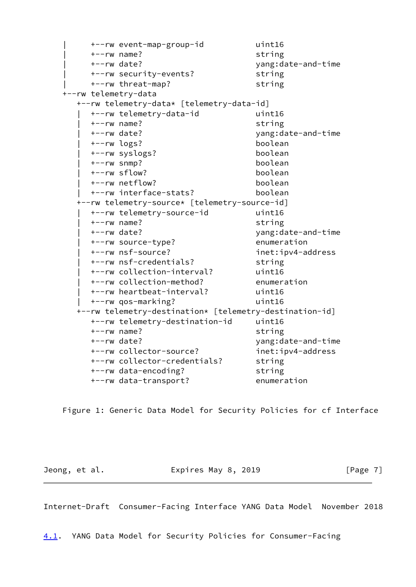```
 | +--rw event-map-group-id uint16
     | +--rw name? string
     | +--rw date? yang:date-and-time
     | +--rw security-events? string
    | +--rw threat-map? string
 +--rw telemetry-data
   +--rw telemetry-data* [telemetry-data-id]
     | +--rw telemetry-data-id uint16
     | +--rw name? string
     | +--rw date? yang:date-and-time
     | +--rw logs? boolean
     | +--rw syslogs? boolean
     | +--rw snmp? boolean
     | +--rw sflow? boolean
     | +--rw netflow? boolean
     | +--rw interface-stats? boolean
   +--rw telemetry-source* [telemetry-source-id]
     | +--rw telemetry-source-id uint16
     | +--rw name? string
     | +--rw date? yang:date-and-time
     | +--rw source-type? enumeration
     | +--rw nsf-source? inet:ipv4-address
     | +--rw nsf-credentials? string
     | +--rw collection-interval? uint16
     | +--rw collection-method? enumeration
     | +--rw heartbeat-interval? uint16
     | +--rw qos-marking? uint16
   +--rw telemetry-destination* [telemetry-destination-id]
     +--rw telemetry-destination-id uint16
     +--rw name? string
     +--rw date? yang:date-and-time
     +--rw collector-source? inet:ipv4-address
    +--rw collector-credentials? string
     +--rw data-encoding? string
     +--rw data-transport? enumeration
```
Figure 1: Generic Data Model for Security Policies for cf Interface

Jeong, et al. **Expires May 8, 2019** [Page 7]

<span id="page-7-0"></span>Internet-Draft Consumer-Facing Interface YANG Data Model November 2018

<span id="page-7-1"></span>[4.1](#page-7-1). YANG Data Model for Security Policies for Consumer-Facing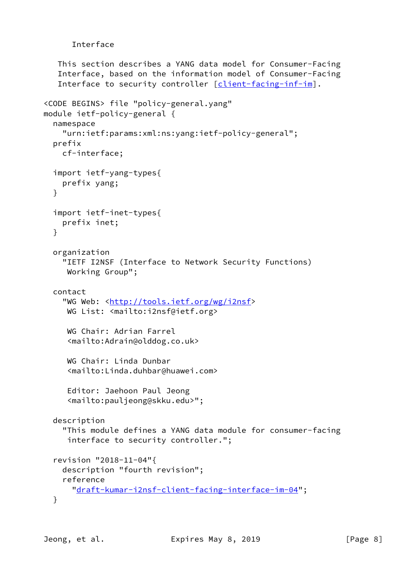# Interface

```
 This section describes a YANG data model for Consumer-Facing
    Interface, based on the information model of Consumer-Facing
   [client-facing-inf-im].
<CODE BEGINS> file "policy-general.yang"
module ietf-policy-general {
   namespace
     "urn:ietf:params:xml:ns:yang:ietf-policy-general";
   prefix
     cf-interface;
   import ietf-yang-types{
     prefix yang;
   }
   import ietf-inet-types{
     prefix inet;
   }
   organization
     "IETF I2NSF (Interface to Network Security Functions)
     Working Group";
   contact
    http://tools.ietf.org/wg/i2nsf>
     WG List: <mailto:i2nsf@ietf.org>
      WG Chair: Adrian Farrel
      <mailto:Adrain@olddog.co.uk>
      WG Chair: Linda Dunbar
      <mailto:Linda.duhbar@huawei.com>
      Editor: Jaehoon Paul Jeong
      <mailto:pauljeong@skku.edu>";
   description
     "This module defines a YANG data module for consumer-facing
      interface to security controller.";
   revision "2018-11-04"{
     description "fourth revision";
     reference
       "draft-kumar-i2nsf-client-facing-interface-im-04";
   }
```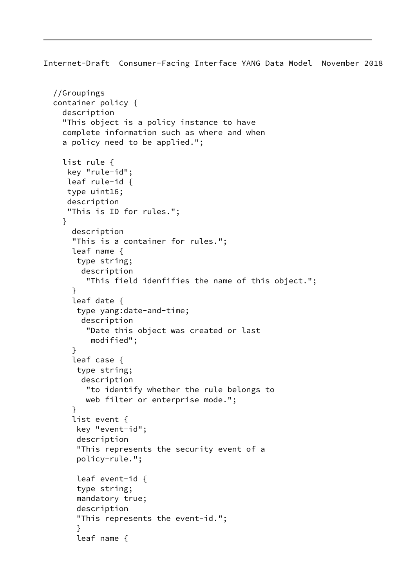```
 //Groupings
 container policy {
   description
   "This object is a policy instance to have
   complete information such as where and when
   a policy need to be applied.";
   list rule {
    key "rule-id";
    leaf rule-id {
    type uint16;
    description
    "This is ID for rules.";
   }
     description
     "This is a container for rules.";
     leaf name {
      type string;
       description
        "This field idenfifies the name of this object.";
     }
     leaf date {
      type yang:date-and-time;
       description
        "Date this object was created or last
         modified";
     }
     leaf case {
      type string;
       description
        "to identify whether the rule belongs to
        web filter or enterprise mode.";
     }
     list event {
      key "event-id";
      description
      "This represents the security event of a
      policy-rule.";
      leaf event-id {
      type string;
      mandatory true;
      description
      "This represents the event-id.";
      }
      leaf name {
```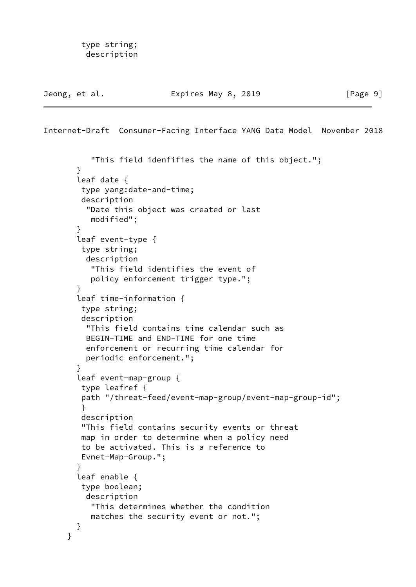```
 type string;
  description
```

```
Internet-Draft Consumer-Facing Interface YANG Data Model November 2018
           "This field idenfifies the name of this object.";
        }
        leaf date {
         type yang:date-and-time;
         description
          "Date this object was created or last
           modified";
        }
        leaf event-type {
         type string;
          description
           "This field identifies the event of
           policy enforcement trigger type.";
        }
        leaf time-information {
         type string;
         description
          "This field contains time calendar such as
          BEGIN-TIME and END-TIME for one time
          enforcement or recurring time calendar for
          periodic enforcement.";
        }
        leaf event-map-group {
         type leafref {
         path "/threat-feed/event-map-group/event-map-group-id";
         }
         description
         "This field contains security events or threat
         map in order to determine when a policy need
         to be activated. This is a reference to
         Evnet-Map-Group.";
        }
        leaf enable {
         type boolean;
          description
           "This determines whether the condition
           matches the security event or not.";
        }
      }
```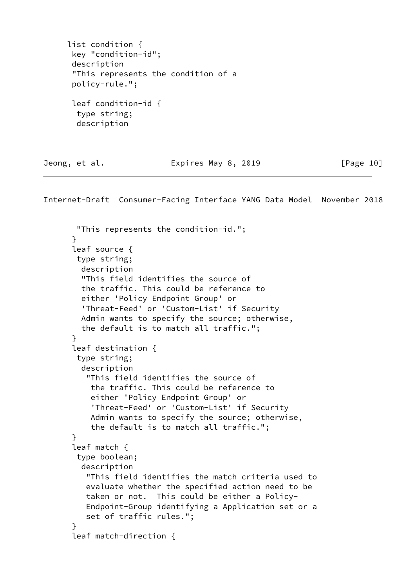```
 list condition {
 key "condition-id";
  description
  "This represents the condition of a
  policy-rule.";
  leaf condition-id {
   type string;
   description
```
Jeong, et al. **Expires May 8, 2019** [Page 10]

```
 "This represents the condition-id.";
 }
 leaf source {
 type string;
  description
  "This field identifies the source of
  the traffic. This could be reference to
  either 'Policy Endpoint Group' or
   'Threat-Feed' or 'Custom-List' if Security
  Admin wants to specify the source; otherwise,
  the default is to match all traffic.";
 }
 leaf destination {
 type string;
  description
    "This field identifies the source of
     the traffic. This could be reference to
     either 'Policy Endpoint Group' or
     'Threat-Feed' or 'Custom-List' if Security
     Admin wants to specify the source; otherwise,
     the default is to match all traffic.";
 }
 leaf match {
 type boolean;
  description
    "This field identifies the match criteria used to
    evaluate whether the specified action need to be
    taken or not. This could be either a Policy-
    Endpoint-Group identifying a Application set or a
    set of traffic rules.";
 }
 leaf match-direction {
```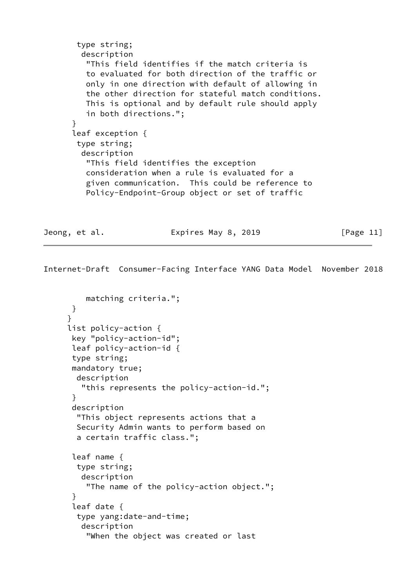```
 type string;
   description
    "This field identifies if the match criteria is
    to evaluated for both direction of the traffic or
    only in one direction with default of allowing in
    the other direction for stateful match conditions.
    This is optional and by default rule should apply
    in both directions.";
 }
 leaf exception {
 type string;
  description
    "This field identifies the exception
    consideration when a rule is evaluated for a
    given communication. This could be reference to
    Policy-Endpoint-Group object or set of traffic
```
Jeong, et al. Expires May 8, 2019 [Page 11]

```
 matching criteria.";
       }
      }
      list policy-action {
       key "policy-action-id";
       leaf policy-action-id {
       type string;
       mandatory true;
        description
         "this represents the policy-action-id.";
       }
       description
        "This object represents actions that a
        Security Admin wants to perform based on
        a certain traffic class.";
       leaf name {
        type string;
         description
          "The name of the policy-action object.";
 }
       leaf date {
        type yang:date-and-time;
         description
          "When the object was created or last
```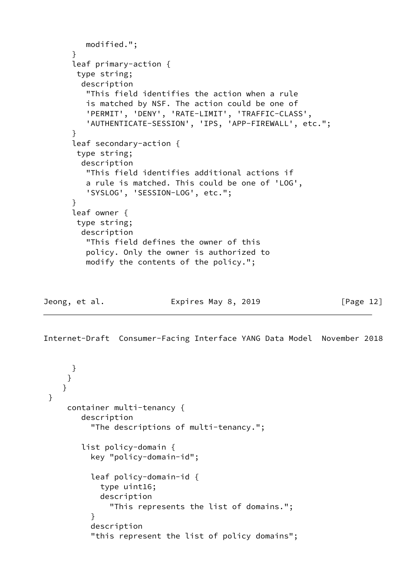```
 modified.";
 }
 leaf primary-action {
 type string;
  description
    "This field identifies the action when a rule
    is matched by NSF. The action could be one of
    'PERMIT', 'DENY', 'RATE-LIMIT', 'TRAFFIC-CLASS',
    'AUTHENTICATE-SESSION', 'IPS, 'APP-FIREWALL', etc.";
 }
 leaf secondary-action {
 type string;
  description
    "This field identifies additional actions if
    a rule is matched. This could be one of 'LOG',
    'SYSLOG', 'SESSION-LOG', etc.";
 }
 leaf owner {
 type string;
   description
    "This field defines the owner of this
    policy. Only the owner is authorized to
    modify the contents of the policy.";
```
Jeong, et al. Expires May 8, 2019 [Page 12]

```
 }
      }
    }
 }
     container multi-tenancy {
         description
           "The descriptions of multi-tenancy.";
         list policy-domain {
           key "policy-domain-id";
           leaf policy-domain-id {
             type uint16;
             description
               "This represents the list of domains.";
 }
           description
           "this represent the list of policy domains";
```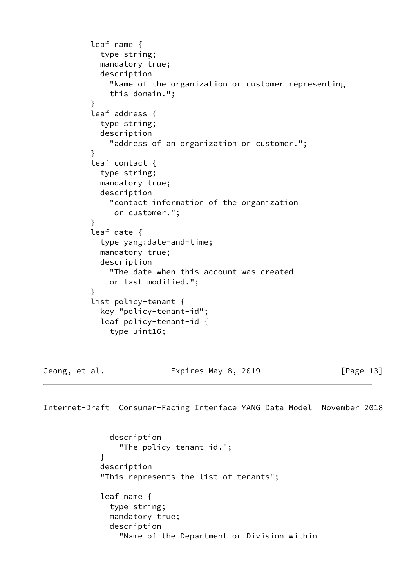```
 leaf name {
             type string;
             mandatory true;
             description
               "Name of the organization or customer representing
               this domain.";
 }
           leaf address {
             type string;
             description
               "address of an organization or customer.";
           }
           leaf contact {
             type string;
             mandatory true;
             description
               "contact information of the organization
                or customer.";
 }
           leaf date {
             type yang:date-and-time;
             mandatory true;
             description
               "The date when this account was created
               or last modified.";
 }
           list policy-tenant {
             key "policy-tenant-id";
             leaf policy-tenant-id {
               type uint16;
```
Jeong, et al. Expires May 8, 2019 [Page 13]

Internet-Draft Consumer-Facing Interface YANG Data Model November 2018

 description "The policy tenant id."; } description "This represents the list of tenants"; leaf name { type string; mandatory true; description "Name of the Department or Division within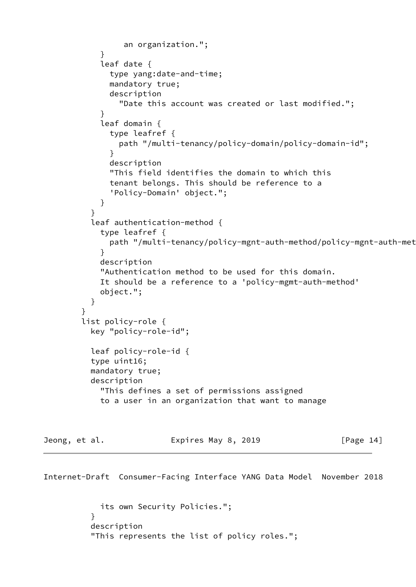```
 an organization.";
 }
            leaf date {
              type yang:date-and-time;
              mandatory true;
              description
                "Date this account was created or last modified.";
 }
            leaf domain {
              type leafref {
               path "/multi-tenancy/policy-domain/policy-domain-id";
 }
              description
              "This field identifies the domain to which this
              tenant belongs. This should be reference to a
              'Policy-Domain' object.";
 }
 }
          leaf authentication-method {
            type leafref {
             path "/multi-tenancy/policy-mgnt-auth-method/policy-mgnt-auth-met
 }
            description
            "Authentication method to be used for this domain.
            It should be a reference to a 'policy-mgmt-auth-method'
            object.";
 }
        }
        list policy-role {
          key "policy-role-id";
          leaf policy-role-id {
          type uint16;
          mandatory true;
          description
            "This defines a set of permissions assigned
            to a user in an organization that want to manage
Jeong, et al. Expires May 8, 2019 [Page 14]
```

```
 its own Security Policies.";
 }
          description
          "This represents the list of policy roles.";
```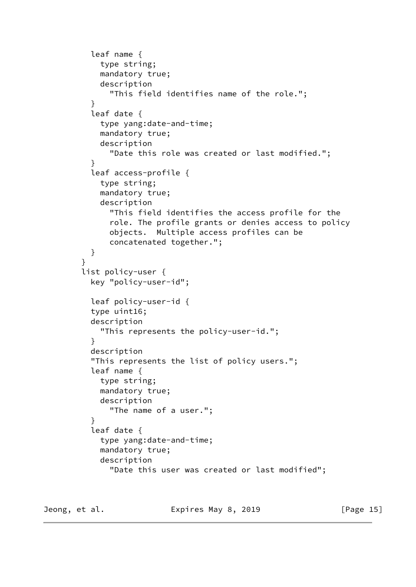```
 leaf name {
             type string;
             mandatory true;
             description
               "This field identifies name of the role.";
 }
           leaf date {
             type yang:date-and-time;
             mandatory true;
             description
               "Date this role was created or last modified.";
 }
           leaf access-profile {
             type string;
             mandatory true;
             description
               "This field identifies the access profile for the
               role. The profile grants or denies access to policy
               objects. Multiple access profiles can be
               concatenated together.";
           }
 }
         list policy-user {
           key "policy-user-id";
           leaf policy-user-id {
           type uint16;
           description
             "This represents the policy-user-id.";
 }
           description
           "This represents the list of policy users.";
           leaf name {
             type string;
             mandatory true;
             description
               "The name of a user.";
 }
           leaf date {
             type yang:date-and-time;
             mandatory true;
             description
               "Date this user was created or last modified";
```
Jeong, et al. **Expires May 8, 2019** [Page 15]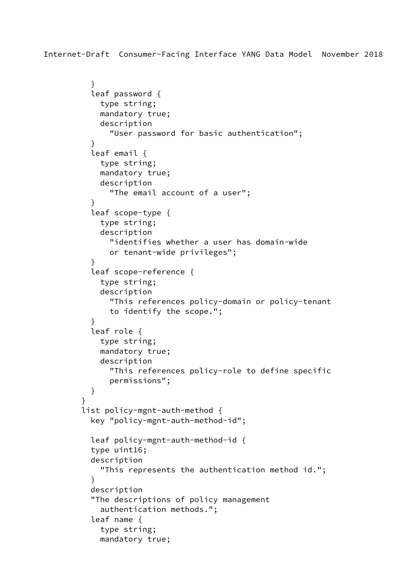```
 }
           leaf password {
             type string;
             mandatory true;
             description
               "User password for basic authentication";
           }
           leaf email {
             type string;
             mandatory true;
             description
               "The email account of a user";
 }
           leaf scope-type {
             type string;
             description
               "identifies whether a user has domain-wide
               or tenant-wide privileges";
 }
           leaf scope-reference {
             type string;
             description
               "This references policy-domain or policy-tenant
               to identify the scope.";
 }
           leaf role {
             type string;
             mandatory true;
             description
               "This references policy-role to define specific
               permissions";
           }
         }
         list policy-mgnt-auth-method {
           key "policy-mgnt-auth-method-id";
           leaf policy-mgnt-auth-method-id {
           type uint16;
           description
             "This represents the authentication method id.";
 }
           description
           "The descriptions of policy management
             authentication methods.";
           leaf name {
             type string;
             mandatory true;
```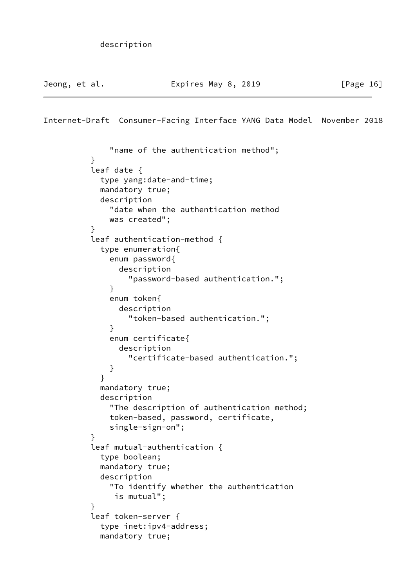```
Internet-Draft Consumer-Facing Interface YANG Data Model November 2018
```

```
 "name of the authentication method";
 }
          leaf date {
            type yang:date-and-time;
            mandatory true;
            description
              "date when the authentication method
              was created";
 }
          leaf authentication-method {
            type enumeration{
              enum password{
                description
                  "password-based authentication.";
 }
              enum token{
                description
                  "token-based authentication.";
 }
              enum certificate{
                description
                  "certificate-based authentication.";
 }
 }
            mandatory true;
            description
              "The description of authentication method;
              token-based, password, certificate,
              single-sign-on";
 }
          leaf mutual-authentication {
            type boolean;
            mandatory true;
            description
              "To identify whether the authentication
               is mutual";
 }
          leaf token-server {
            type inet:ipv4-address;
            mandatory true;
```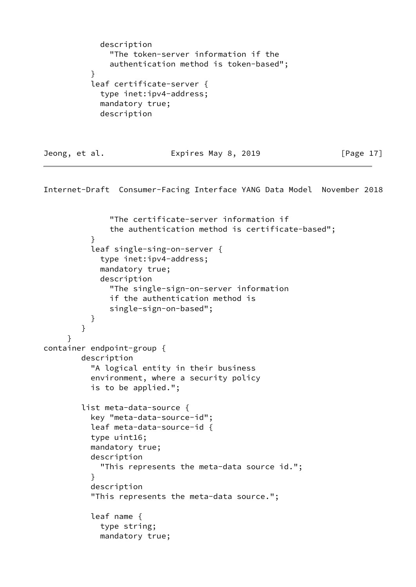```
 description
               "The token-server information if the
               authentication method is token-based";
 }
           leaf certificate-server {
             type inet:ipv4-address;
             mandatory true;
             description
```
Jeong, et al. **Expires May 8, 2019** [Page 17]

```
 "The certificate-server information if
               the authentication method is certificate-based";
 }
           leaf single-sing-on-server {
             type inet:ipv4-address;
             mandatory true;
             description
               "The single-sign-on-server information
               if the authentication method is
               single-sign-on-based";
 }
         }
      }
container endpoint-group {
         description
           "A logical entity in their business
           environment, where a security policy
           is to be applied.";
         list meta-data-source {
           key "meta-data-source-id";
           leaf meta-data-source-id {
           type uint16;
           mandatory true;
           description
             "This represents the meta-data source id.";
 }
           description
           "This represents the meta-data source.";
           leaf name {
             type string;
             mandatory true;
```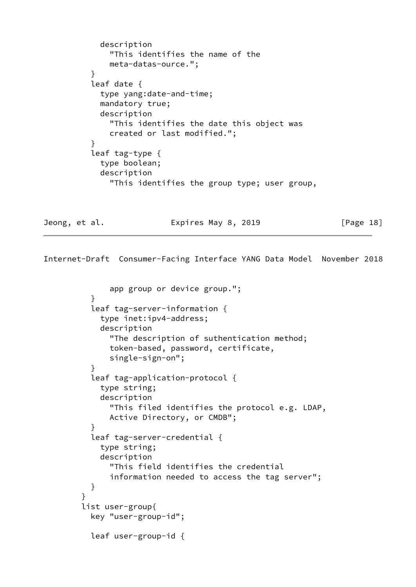```
 description
               "This identifies the name of the
               meta-datas-ource.";
 }
          leaf date {
            type yang:date-and-time;
            mandatory true;
            description
               "This identifies the date this object was
               created or last modified.";
 }
          leaf tag-type {
            type boolean;
            description
               "This identifies the group type; user group,
```
Jeong, et al. Expires May 8, 2019 [Page 18]

```
 app group or device group.";
 }
          leaf tag-server-information {
            type inet:ipv4-address;
            description
              "The description of suthentication method;
              token-based, password, certificate,
              single-sign-on";
 }
          leaf tag-application-protocol {
            type string;
            description
              "This filed identifies the protocol e.g. LDAP,
              Active Directory, or CMDB";
 }
          leaf tag-server-credential {
            type string;
            description
              "This field identifies the credential
              information needed to access the tag server";
 }
 }
        list user-group{
          key "user-group-id";
          leaf user-group-id {
```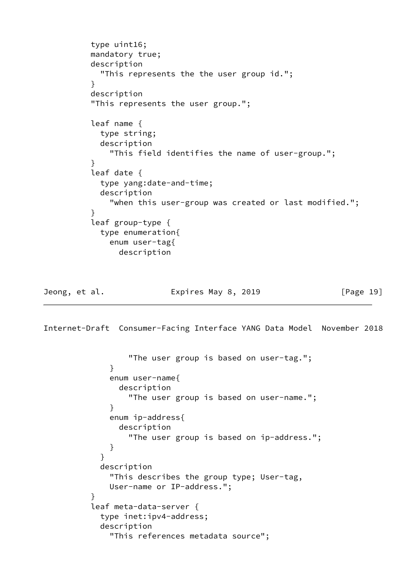```
 type uint16;
          mandatory true;
          description
             "This represents the the user group id.";
 }
          description
           "This represents the user group.";
          leaf name {
            type string;
            description
               "This field identifies the name of user-group.";
 }
          leaf date {
            type yang:date-and-time;
            description
              "when this user-group was created or last modified.";
 }
           leaf group-type {
            type enumeration{
              enum user-tag{
                description
```
## Jeong, et al. **Expires May 8, 2019** [Page 19]

```
 "The user group is based on user-tag.";
 }
             enum user-name{
               description
                 "The user group is based on user-name.";
 }
             enum ip-address{
               description
                 "The user group is based on ip-address.";
 }
 }
           description
             "This describes the group type; User-tag,
             User-name or IP-address.";
 }
          leaf meta-data-server {
           type inet:ipv4-address;
           description
             "This references metadata source";
```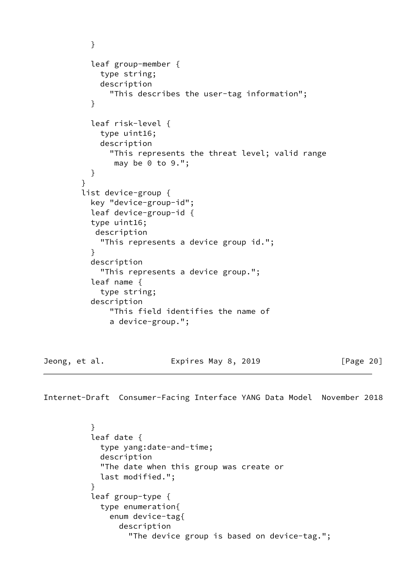```
 }
           leaf group-member {
             type string;
             description
               "This describes the user-tag information";
 }
           leaf risk-level {
             type uint16;
             description
               "This represents the threat level; valid range
                may be 0 to 9.";
           }
         }
         list device-group {
           key "device-group-id";
           leaf device-group-id {
           type uint16;
           description
             "This represents a device group id.";
 }
           description
             "This represents a device group.";
           leaf name {
             type string;
           description
               "This field identifies the name of
               a device-group.";
```
Jeong, et al. **Expires May 8, 2019** [Page 20]

```
 }
          leaf date {
            type yang:date-and-time;
            description
            "The date when this group was create or
            last modified.";
 }
          leaf group-type {
            type enumeration{
              enum device-tag{
                description
                  "The device group is based on device-tag.";
```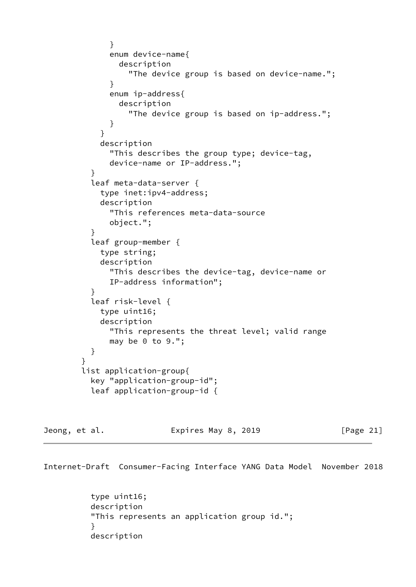```
 }
              enum device-name{
                description
                  "The device group is based on device-name.";
 }
              enum ip-address{
                description
                  "The device group is based on ip-address.";
 }
 }
            description
              "This describes the group type; device-tag,
              device-name or IP-address.";
 }
          leaf meta-data-server {
            type inet:ipv4-address;
            description
              "This references meta-data-source
              object.";
 }
          leaf group-member {
            type string;
            description
              "This describes the device-tag, device-name or
              IP-address information";
 }
          leaf risk-level {
            type uint16;
            description
              "This represents the threat level; valid range
             may be 0 to 9.';
          }
        }
        list application-group{
          key "application-group-id";
          leaf application-group-id {
```

| Jeong, et al. | Expires May 8, 2019 | [Page 21] |
|---------------|---------------------|-----------|
|---------------|---------------------|-----------|

 type uint16; description "This represents an application group id."; } description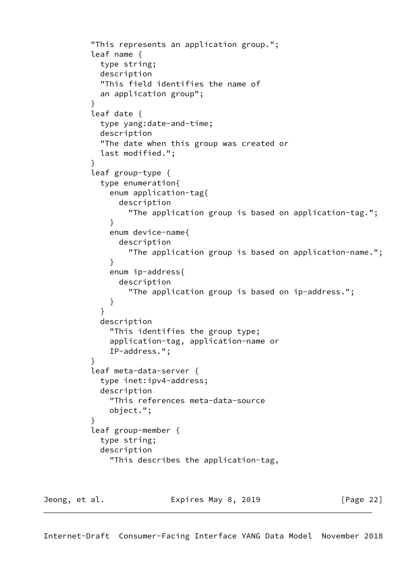```
 "This represents an application group.";
          leaf name {
            type string;
            description
            "This field identifies the name of
            an application group";
 }
          leaf date {
            type yang:date-and-time;
            description
            "The date when this group was created or
            last modified.";
 }
          leaf group-type {
            type enumeration{
              enum application-tag{
                description
                  "The application group is based on application-tag.";
 }
              enum device-name{
                description
                  "The application group is based on application-name.";
 }
              enum ip-address{
                description
                  "The application group is based on ip-address.";
 }
 }
            description
              "This identifies the group type;
              application-tag, application-name or
              IP-address.";
 }
          leaf meta-data-server {
            type inet:ipv4-address;
            description
              "This references meta-data-source
              object.";
 }
          leaf group-member {
            type string;
            description
              "This describes the application-tag,
```
Jeong, et al. Expires May 8, 2019 [Page 22]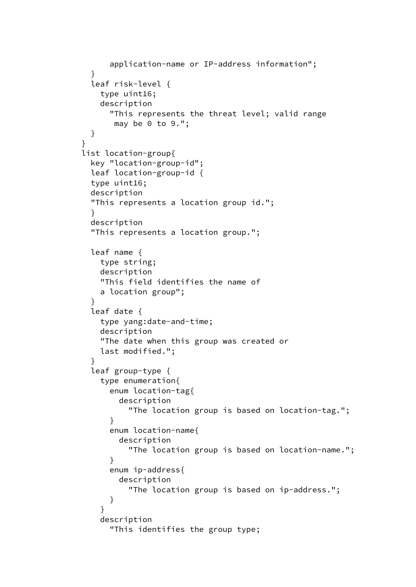```
 application-name or IP-address information";
 }
          leaf risk-level {
            type uint16;
            description
              "This represents the threat level; valid range
               may be 0 to 9.";
          }
        }
        list location-group{
          key "location-group-id";
          leaf location-group-id {
          type uint16;
          description
          "This represents a location group id.";
 }
          description
          "This represents a location group.";
          leaf name {
            type string;
            description
            "This field identifies the name of
            a location group";
          }
          leaf date {
            type yang:date-and-time;
            description
            "The date when this group was created or
            last modified.";
 }
          leaf group-type {
            type enumeration{
              enum location-tag{
                description
                  "The location group is based on location-tag.";
 }
              enum location-name{
                description
                  "The location group is based on location-name.";
 }
              enum ip-address{
                description
                  "The location group is based on ip-address.";
 }
 }
            description
              "This identifies the group type;
```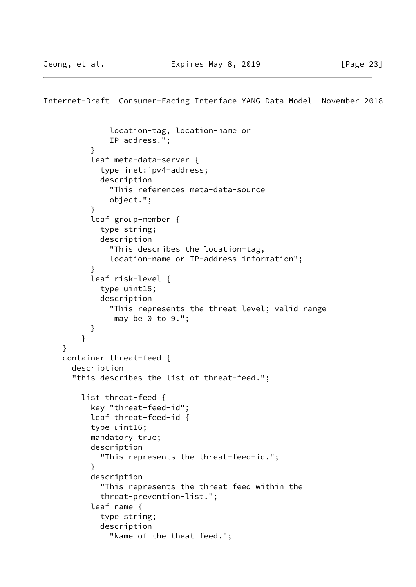```
 location-tag, location-name or
               IP-address.";
 }
           leaf meta-data-server {
             type inet:ipv4-address;
             description
               "This references meta-data-source
               object.";
 }
           leaf group-member {
             type string;
             description
               "This describes the location-tag,
               location-name or IP-address information";
 }
           leaf risk-level {
             type uint16;
             description
               "This represents the threat level; valid range
               may be 0 to 9.';
           }
         }
     }
    container threat-feed {
      description
       "this describes the list of threat-feed.";
         list threat-feed {
           key "threat-feed-id";
           leaf threat-feed-id {
           type uint16;
           mandatory true;
           description
             "This represents the threat-feed-id.";
 }
           description
             "This represents the threat feed within the
             threat-prevention-list.";
           leaf name {
             type string;
             description
               "Name of the theat feed.";
```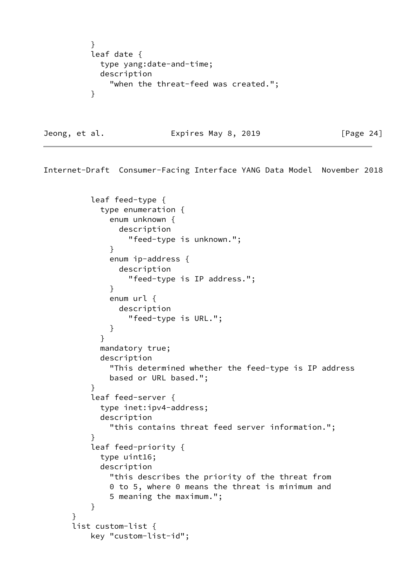```
 }
         leaf date {
           type yang:date-and-time;
           description
             "when the threat-feed was created.";
 }
```
Jeong, et al. **Expires May 8, 2019** [Page 24]

```
 leaf feed-type {
            type enumeration {
              enum unknown {
                description
                  "feed-type is unknown.";
 }
              enum ip-address {
                description
                  "feed-type is IP address.";
 }
              enum url {
                description
                  "feed-type is URL.";
 }
 }
            mandatory true;
            description
              "This determined whether the feed-type is IP address
              based or URL based.";
 }
          leaf feed-server {
            type inet:ipv4-address;
            description
              "this contains threat feed server information.";
          }
          leaf feed-priority {
            type uint16;
            description
              "this describes the priority of the threat from
              0 to 5, where 0 means the threat is minimum and
              5 meaning the maximum.";
          }
      }
      list custom-list {
          key "custom-list-id";
```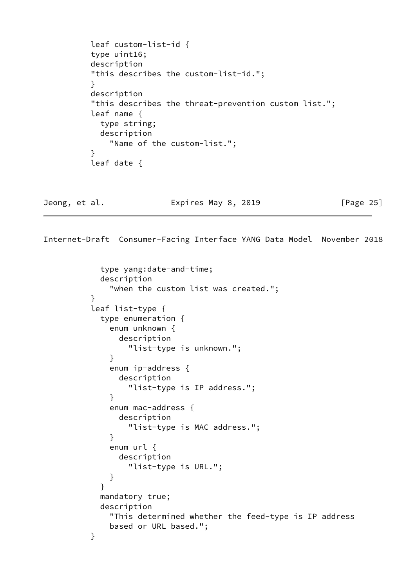```
 leaf custom-list-id {
          type uint16;
          description
          "this describes the custom-list-id.";
 }
          description
          "this describes the threat-prevention custom list.";
          leaf name {
            type string;
            description
               "Name of the custom-list.";
 }
          leaf date {
```
Jeong, et al. Expires May 8, 2019 [Page 25]

```
 type yang:date-and-time;
            description
              "when the custom list was created.";
 }
          leaf list-type {
            type enumeration {
             enum unknown {
               description
                 "list-type is unknown.";
 }
             enum ip-address {
               description
                 "list-type is IP address.";
 }
             enum mac-address {
               description
                 "list-type is MAC address.";
 }
             enum url {
               description
                 "list-type is URL.";
 }
 }
            mandatory true;
            description
             "This determined whether the feed-type is IP address
             based or URL based.";
          }
```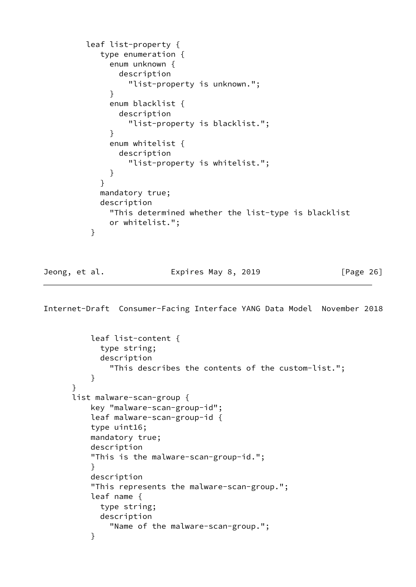```
 leaf list-property {
           type enumeration {
             enum unknown {
               description
                 "list-property is unknown.";
 }
             enum blacklist {
               description
                 "list-property is blacklist.";
 }
             enum whitelist {
               description
                 "list-property is whitelist.";
 }
 }
           mandatory true;
           description
             "This determined whether the list-type is blacklist
             or whitelist.";
 }
```
Jeong, et al. Expires May 8, 2019 [Page 26]

```
 leaf list-content {
             type string;
             description
               "This describes the contents of the custom-list.";
 }
       }
       list malware-scan-group {
           key "malware-scan-group-id";
           leaf malware-scan-group-id {
           type uint16;
           mandatory true;
           description
           "This is the malware-scan-group-id.";
 }
           description
           "This represents the malware-scan-group.";
           leaf name {
             type string;
             description
               "Name of the malware-scan-group.";
           }
```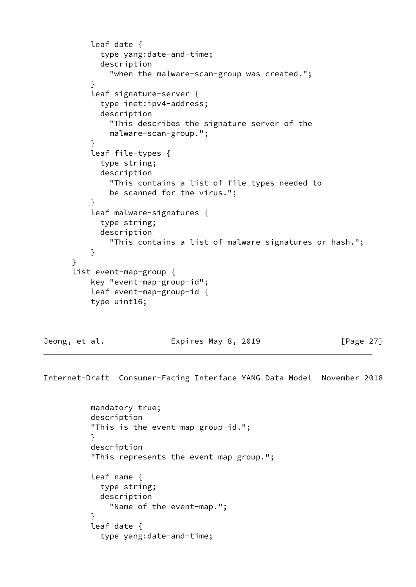```
 leaf date {
             type yang:date-and-time;
             description
               "when the malware-scan-group was created.";
 }
           leaf signature-server {
             type inet:ipv4-address;
             description
               "This describes the signature server of the
               malware-scan-group.";
 }
           leaf file-types {
            type string;
             description
               "This contains a list of file types needed to
               be scanned for the virus.";
 }
           leaf malware-signatures {
             type string;
             description
               "This contains a list of malware signatures or hash.";
           }
       list event-map-group {
           key "event-map-group-id";
           leaf event-map-group-id {
           type uint16;
```
}

Jeong, et al. Expires May 8, 2019 [Page 27]

Internet-Draft Consumer-Facing Interface YANG Data Model November 2018

 mandatory true; description "This is the event-map-group-id."; } description "This represents the event map group."; leaf name { type string; description "Name of the event-map."; } leaf date { type yang:date-and-time;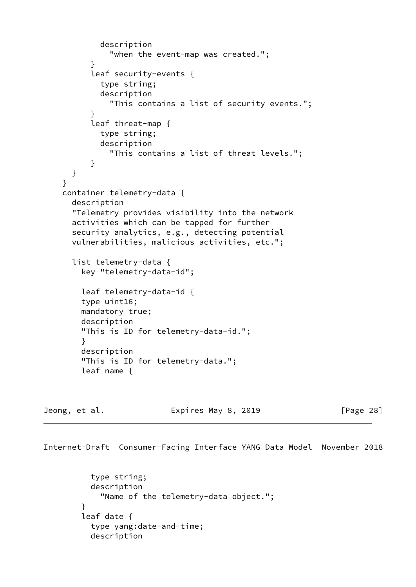```
 description
               "when the event-map was created.";
 }
           leaf security-events {
             type string;
             description
               "This contains a list of security events.";
 }
           leaf threat-map {
             type string;
             description
               "This contains a list of threat levels.";
 }
      }
     }
     container telemetry-data {
      description
       "Telemetry provides visibility into the network
      activities which can be tapped for further
       security analytics, e.g., detecting potential
      vulnerabilities, malicious activities, etc.";
      list telemetry-data {
        key "telemetry-data-id";
        leaf telemetry-data-id {
         type uint16;
        mandatory true;
        description
         "This is ID for telemetry-data-id.";
         }
        description
         "This is ID for telemetry-data.";
         leaf name {
```
Jeong, et al. Expires May 8, 2019 [Page 28]

```
 type string;
           description
             "Name of the telemetry-data object.";
 }
        leaf date {
           type yang:date-and-time;
           description
```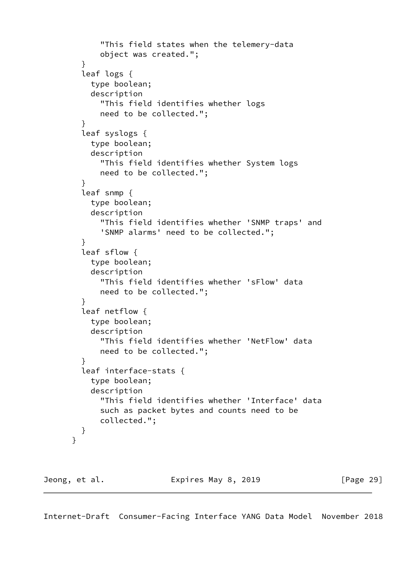```
 "This field states when the telemery-data
             object was created.";
         }
         leaf logs {
           type boolean;
           description
             "This field identifies whether logs
             need to be collected.";
 }
         leaf syslogs {
           type boolean;
           description
             "This field identifies whether System logs
             need to be collected.";
         }
         leaf snmp {
           type boolean;
           description
             "This field identifies whether 'SNMP traps' and
             'SNMP alarms' need to be collected.";
         }
         leaf sflow {
           type boolean;
           description
             "This field identifies whether 'sFlow' data
             need to be collected.";
         }
         leaf netflow {
           type boolean;
           description
             "This field identifies whether 'NetFlow' data
             need to be collected.";
         }
         leaf interface-stats {
           type boolean;
           description
             "This field identifies whether 'Interface' data
             such as packet bytes and counts need to be
             collected.";
         }
       }
Jeong, et al. Expires May 8, 2019 [Page 29]
```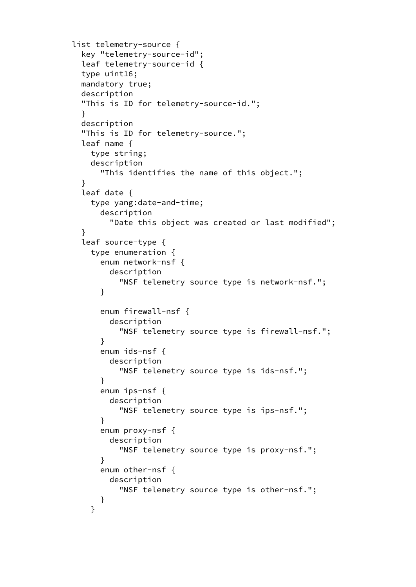```
 list telemetry-source {
        key "telemetry-source-id";
        leaf telemetry-source-id {
        type uint16;
        mandatory true;
        description
        "This is ID for telemetry-source-id.";
        }
        description
        "This is ID for telemetry-source.";
        leaf name {
          type string;
          description
            "This identifies the name of this object.";
 }
        leaf date {
          type yang:date-and-time;
            description
              "Date this object was created or last modified";
 }
        leaf source-type {
          type enumeration {
            enum network-nsf {
              description
                "NSF telemetry source type is network-nsf.";
 }
            enum firewall-nsf {
              description
                "NSF telemetry source type is firewall-nsf.";
 }
            enum ids-nsf {
              description
                "NSF telemetry source type is ids-nsf.";
 }
            enum ips-nsf {
              description
                "NSF telemetry source type is ips-nsf.";
 }
            enum proxy-nsf {
              description
                "NSF telemetry source type is proxy-nsf.";
 }
            enum other-nsf {
              description
                "NSF telemetry source type is other-nsf.";
 }
 }
```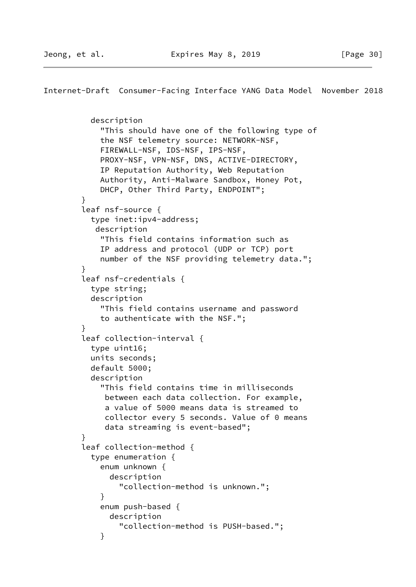```
Internet-Draft Consumer-Facing Interface YANG Data Model November 2018
           description
             "This should have one of the following type of
             the NSF telemetry source: NETWORK-NSF,
             FIREWALL-NSF, IDS-NSF, IPS-NSF,
             PROXY-NSF, VPN-NSF, DNS, ACTIVE-DIRECTORY,
             IP Reputation Authority, Web Reputation
             Authority, Anti-Malware Sandbox, Honey Pot,
             DHCP, Other Third Party, ENDPOINT";
 }
         leaf nsf-source {
           type inet:ipv4-address;
            description
             "This field contains information such as
             IP address and protocol (UDP or TCP) port
             number of the NSF providing telemetry data.";
         }
         leaf nsf-credentials {
           type string;
           description
             "This field contains username and password
             to authenticate with the NSF.";
         }
         leaf collection-interval {
           type uint16;
           units seconds;
           default 5000;
           description
             "This field contains time in milliseconds
              between each data collection. For example,
              a value of 5000 means data is streamed to
              collector every 5 seconds. Value of 0 means
              data streaming is event-based";
         }
         leaf collection-method {
           type enumeration {
             enum unknown {
               description
                 "collection-method is unknown.";
 }
             enum push-based {
               description
                 "collection-method is PUSH-based.";
 }
```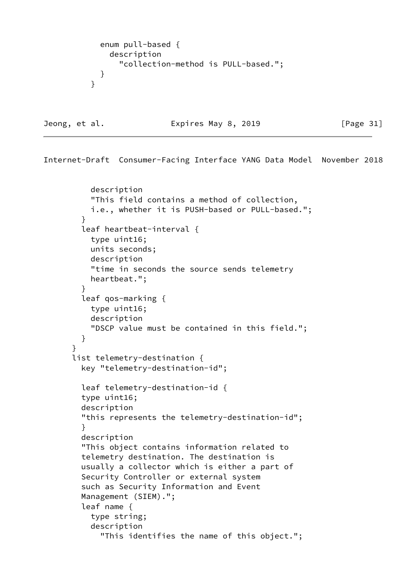```
 enum pull-based {
            description
              "collection-method is PULL-based.";
 }
 }
```
Jeong, et al. **Expires May 8, 2019** [Page 31]

```
 description
     "This field contains a method of collection,
     i.e., whether it is PUSH-based or PULL-based.";
  }
   leaf heartbeat-interval {
     type uint16;
     units seconds;
     description
     "time in seconds the source sends telemetry
     heartbeat.";
   }
   leaf qos-marking {
     type uint16;
     description
     "DSCP value must be contained in this field.";
   }
 }
 list telemetry-destination {
   key "telemetry-destination-id";
   leaf telemetry-destination-id {
   type uint16;
   description
   "this represents the telemetry-destination-id";
   }
   description
   "This object contains information related to
   telemetry destination. The destination is
   usually a collector which is either a part of
   Security Controller or external system
   such as Security Information and Event
  Management (SIEM).";
   leaf name {
     type string;
     description
       "This identifies the name of this object.";
```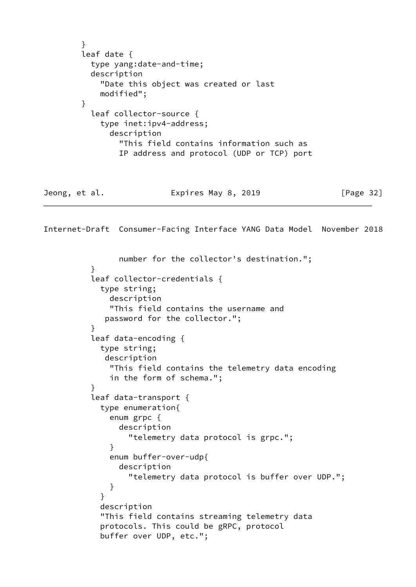```
 }
        leaf date {
          type yang:date-and-time;
          description
            "Date this object was created or last
            modified";
        }
          leaf collector-source {
            type inet:ipv4-address;
              description
                "This field contains information such as
                IP address and protocol (UDP or TCP) port
Jeong, et al. Expires May 8, 2019 [Page 32]
```

```
 number for the collector's destination.";
 }
          leaf collector-credentials {
            type string;
              description
              "This field contains the username and
             password for the collector.";
 }
          leaf data-encoding {
            type string;
             description
              "This field contains the telemetry data encoding
              in the form of schema.";
 }
          leaf data-transport {
            type enumeration{
              enum grpc {
                description
                  "telemetry data protocol is grpc.";
 }
              enum buffer-over-udp{
                description
                  "telemetry data protocol is buffer over UDP.";
 }
 }
            description
            "This field contains streaming telemetry data
            protocols. This could be gRPC, protocol
            buffer over UDP, etc.";
```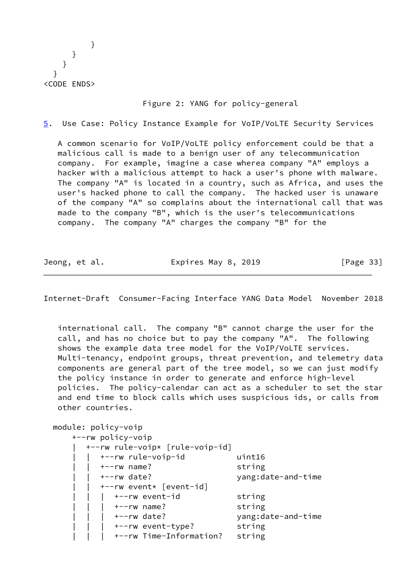} } } } <CODE ENDS>

## Figure 2: YANG for policy-general

<span id="page-37-0"></span>[5](#page-37-0). Use Case: Policy Instance Example for VoIP/VoLTE Security Services

 A common scenario for VoIP/VoLTE policy enforcement could be that a malicious call is made to a benign user of any telecommunication company. For example, imagine a case wherea company "A" employs a hacker with a malicious attempt to hack a user's phone with malware. The company "A" is located in a country, such as Africa, and uses the user's hacked phone to call the company. The hacked user is unaware of the company "A" so complains about the international call that was made to the company "B", which is the user's telecommunications company. The company "A" charges the company "B" for the

Jeong, et al. Expires May 8, 2019 [Page 33]

Internet-Draft Consumer-Facing Interface YANG Data Model November 2018

 international call. The company "B" cannot charge the user for the call, and has no choice but to pay the company "A". The following shows the example data tree model for the VoIP/VoLTE services. Multi-tenancy, endpoint groups, threat prevention, and telemetry data components are general part of the tree model, so we can just modify the policy instance in order to generate and enforce high-level policies. The policy-calendar can act as a scheduler to set the star and end time to block calls which uses suspicious ids, or calls from other countries.

 module: policy-voip +--rw policy-voip | +--rw rule-voip\* [rule-voip-id] | | +--rw rule-voip-id uint16 | | +--rw name? string | | +--rw date? yang:date-and-time | | +--rw event\* [event-id] +--rw event-id string | | | +--rw name? string | | | +--rw date? yang:date-and-time | | | +--rw event-type? string | | | +--rw Time-Information? string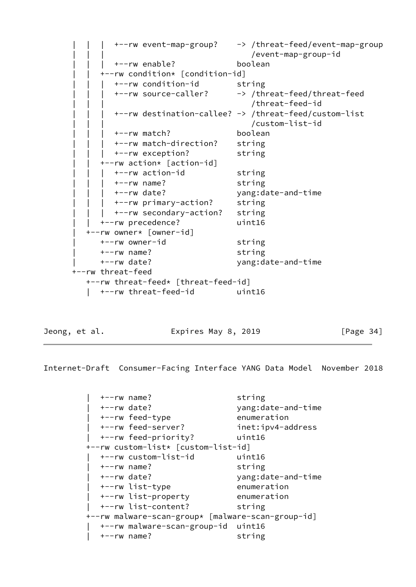```
 | | | +--rw event-map-group? -> /threat-feed/event-map-group
                                     | | | /event-map-group-id
         | | | +--rw enable? boolean
      | | +--rw condition* [condition-id]
         | | | +--rw condition-id string
         | | | +--rw source-caller? -> /threat-feed/threat-feed
                                     | | | /threat-feed-id
         | | | +--rw destination-callee? -> /threat-feed/custom-list
                                     | | | /custom-list-id
         | | | +--rw match? boolean
         | | | +--rw match-direction? string
         | | | +--rw exception? string
      | | +--rw action* [action-id]
       +--rw action-id string
         | | | +--rw name? string
        | | | +--rw date? yang:date-and-time
         | | | +--rw primary-action? string
         | | | +--rw secondary-action? string
      | | +--rw precedence? uint16
   | +--rw owner* [owner-id]
     +--rw owner-id string
      | +--rw name? string
      | +--rw date? yang:date-and-time
 +--rw threat-feed
   +--rw threat-feed* [threat-feed-id]
    | +--rw threat-feed-id uint16
```
<span id="page-38-0"></span>

Jeong, et al. **Expires May 8, 2019** [Page 34]

| $+--rw$ name?                                     | string             |  |  |
|---------------------------------------------------|--------------------|--|--|
| $+--rw$ date?                                     | yang:date-and-time |  |  |
| +--rw feed-type                                   | enumeration        |  |  |
| +--rw feed-server?                                | inet:ipv4-address  |  |  |
| +--rw feed-priority?                              | uint16             |  |  |
| +--rw custom-list* [custom-list-id]               |                    |  |  |
| +--rw custom-list-id                              | uint16             |  |  |
| $+--rw$ name?                                     | string             |  |  |
| $+--rw$ date?                                     | yang:date-and-time |  |  |
| +--rw list-type                                   | enumeration        |  |  |
| +--rw list-property                               | enumeration        |  |  |
| +--rw list-content?                               | string             |  |  |
| +--rw malware-scan-group* [malware-scan-group-id] |                    |  |  |
| +--rw malware-scan-group-id uint16                |                    |  |  |
| $+--rw$ name?                                     | string             |  |  |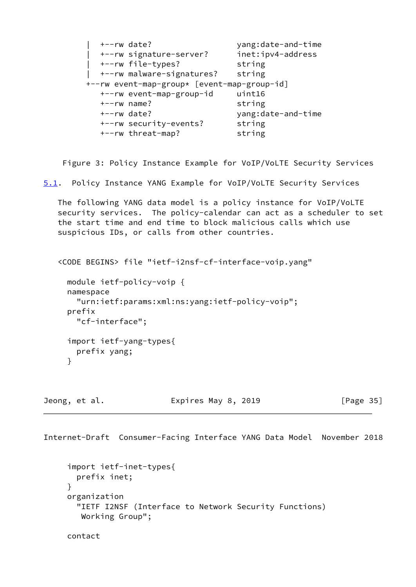```
 | +--rw date? yang:date-and-time
            | +--rw signature-server? inet:ipv4-address
            | +--rw file-types? string
            | +--rw malware-signatures? string
         +--rw event-map-group* [event-map-group-id]
            +--rw event-map-group-id uint16
            +--rw name? string
            +--rw date? yang:date-and-time
            +--rw security-events? string
            +--rw threat-map? string
    Figure 3: Policy Instance Example for VoIP/VoLTE Security Services
5.1. Policy Instance YANG Example for VoIP/VoLTE Security Services
   The following YANG data model is a policy instance for VoIP/VoLTE
   security services. The policy-calendar can act as a scheduler to set
   the start time and end time to block malicious calls which use
   suspicious IDs, or calls from other countries.
   <CODE BEGINS> file "ietf-i2nsf-cf-interface-voip.yang"
     module ietf-policy-voip {
     namespace
       "urn:ietf:params:xml:ns:yang:ietf-policy-voip";
     prefix
       "cf-interface";
     import ietf-yang-types{
       prefix yang;
     }
```
Jeong, et al. Expires May 8, 2019 [Page 35]

Internet-Draft Consumer-Facing Interface YANG Data Model November 2018 import ietf-inet-types{ prefix inet; } organization "IETF I2NSF (Interface to Network Security Functions) Working Group"; contact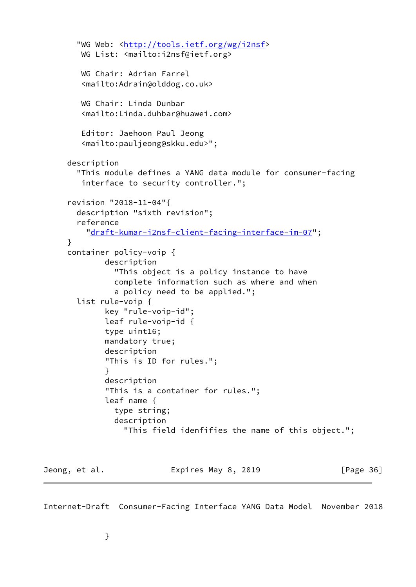```
 "WG Web: <http://tools.ietf.org/wg/i2nsf>
        WG List: <mailto:i2nsf@ietf.org>
        WG Chair: Adrian Farrel
         <mailto:Adrain@olddog.co.uk>
        WG Chair: Linda Dunbar
         <mailto:Linda.duhbar@huawei.com>
         Editor: Jaehoon Paul Jeong
         <mailto:pauljeong@skku.edu>";
     description
        "This module defines a YANG data module for consumer-facing
         interface to security controller.";
      revision "2018-11-04"{
       description "sixth revision";
       reference
          "draft-kumar-i2nsf-client-facing-interface-im-07";
     }
     container policy-voip {
             description
                "This object is a policy instance to have
                complete information such as where and when
                a policy need to be applied.";
       list rule-voip {
             key "rule-voip-id";
              leaf rule-voip-id {
              type uint16;
             mandatory true;
             description
              "This is ID for rules.";
 }
             description
              "This is a container for rules.";
              leaf name {
                type string;
                description
                  "This field idenfifies the name of this object.";
Jeong, et al. Expires May 8, 2019 [Page 36]
```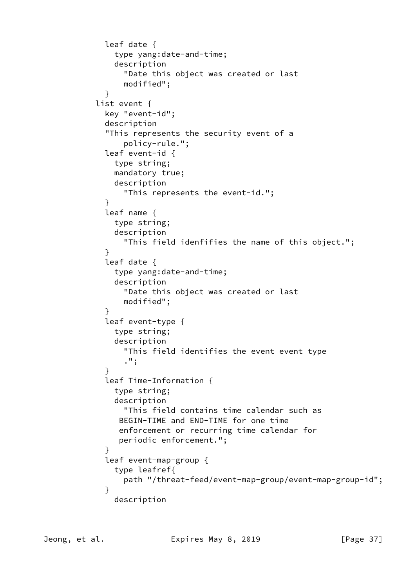```
 leaf date {
               type yang:date-and-time;
               description
                 "Date this object was created or last
                 modified";
 }
           list event {
             key "event-id";
             description
             "This represents the security event of a
                 policy-rule.";
             leaf event-id {
               type string;
               mandatory true;
               description
                 "This represents the event-id.";
 }
             leaf name {
               type string;
               description
                 "This field idenfifies the name of this object.";
 }
             leaf date {
               type yang:date-and-time;
               description
                 "Date this object was created or last
                 modified";
 }
             leaf event-type {
               type string;
               description
                 "This field identifies the event event type
                 .";
 }
             leaf Time-Information {
               type string;
               description
                 "This field contains time calendar such as
                BEGIN-TIME and END-TIME for one time
                enforcement or recurring time calendar for
                periodic enforcement.";
 }
             leaf event-map-group {
               type leafref{
                 path "/threat-feed/event-map-group/event-map-group-id";
 }
               description
```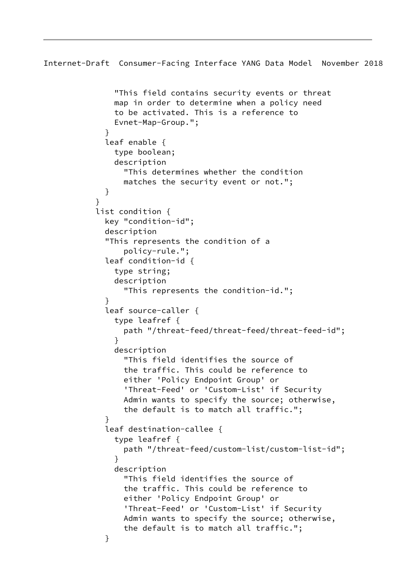```
Internet-Draft Consumer-Facing Interface YANG Data Model November 2018
               "This field contains security events or threat
               map in order to determine when a policy need
               to be activated. This is a reference to
               Evnet-Map-Group.";
 }
             leaf enable {
               type boolean;
               description
                 "This determines whether the condition
                 matches the security event or not.";
 }
 }
           list condition {
             key "condition-id";
             description
             "This represents the condition of a
                 policy-rule.";
             leaf condition-id {
               type string;
               description
                 "This represents the condition-id.";
 }
             leaf source-caller {
               type leafref {
                 path "/threat-feed/threat-feed/threat-feed-id";
 }
               description
                 "This field identifies the source of
                 the traffic. This could be reference to
                 either 'Policy Endpoint Group' or
                 'Threat-Feed' or 'Custom-List' if Security
                 Admin wants to specify the source; otherwise,
                 the default is to match all traffic.";
 }
             leaf destination-callee {
               type leafref {
                 path "/threat-feed/custom-list/custom-list-id";
 }
               description
                 "This field identifies the source of
                 the traffic. This could be reference to
                 either 'Policy Endpoint Group' or
                 'Threat-Feed' or 'Custom-List' if Security
                 Admin wants to specify the source; otherwise,
                 the default is to match all traffic.";
 }
```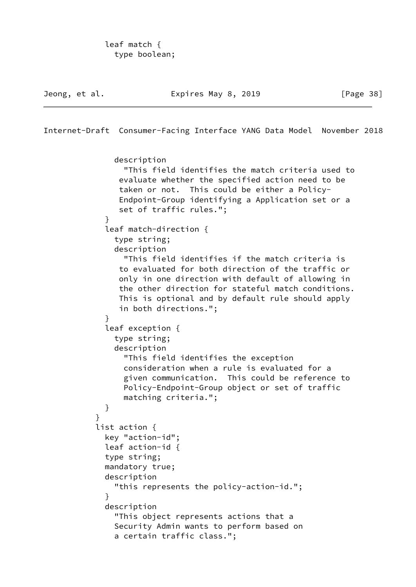Jeong, et al. **Expires May 8, 2019** [Page 38] Internet-Draft Consumer-Facing Interface YANG Data Model November 2018 description "This field identifies the match criteria used to evaluate whether the specified action need to be taken or not. This could be either a Policy- Endpoint-Group identifying a Application set or a set of traffic rules."; } leaf match-direction { type string; description "This field identifies if the match criteria is to evaluated for both direction of the traffic or only in one direction with default of allowing in the other direction for stateful match conditions. This is optional and by default rule should apply in both directions."; } leaf exception { type string; description "This field identifies the exception consideration when a rule is evaluated for a given communication. This could be reference to Policy-Endpoint-Group object or set of traffic matching criteria."; } } list action { key "action-id"; leaf action-id { type string; mandatory true; description "this represents the policy-action-id."; } description "This object represents actions that a Security Admin wants to perform based on

a certain traffic class.";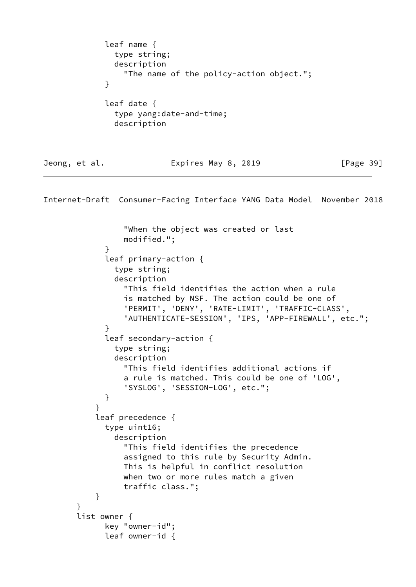leaf name { type string; description "The name of the policy-action object."; } leaf date { type yang:date-and-time; description Jeong, et al. **Expires May 8, 2019** [Page 39] Internet-Draft Consumer-Facing Interface YANG Data Model November 2018 "When the object was created or last modified."; } leaf primary-action { type string; description "This field identifies the action when a rule is matched by NSF. The action could be one of 'PERMIT', 'DENY', 'RATE-LIMIT', 'TRAFFIC-CLASS', 'AUTHENTICATE-SESSION', 'IPS, 'APP-FIREWALL', etc."; } leaf secondary-action { type string; description "This field identifies additional actions if a rule is matched. This could be one of 'LOG', 'SYSLOG', 'SESSION-LOG', etc."; } } leaf precedence { type uint16; description "This field identifies the precedence assigned to this rule by Security Admin. This is helpful in conflict resolution when two or more rules match a given traffic class."; } } list owner { key "owner-id"; leaf owner-id {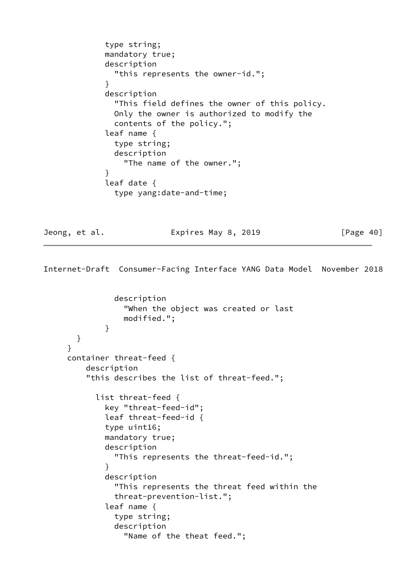```
 type string;
             mandatory true;
             description
               "this represents the owner-id.";
 }
             description
               "This field defines the owner of this policy.
               Only the owner is authorized to modify the
               contents of the policy.";
             leaf name {
               type string;
               description
                 "The name of the owner.";
 }
             leaf date {
               type yang:date-and-time;
```
Jeong, et al. **Expires May 8, 2019** [Page 40]

```
 description
                  "When the object was created or last
                  modified.";
 }
       }
      }
      container threat-feed {
          description
          "this describes the list of threat-feed.";
            list threat-feed {
              key "threat-feed-id";
              leaf threat-feed-id {
              type uint16;
              mandatory true;
              description
                "This represents the threat-feed-id.";
 }
              description
                "This represents the threat feed within the
                threat-prevention-list.";
              leaf name {
                type string;
                description
                  "Name of the theat feed.";
```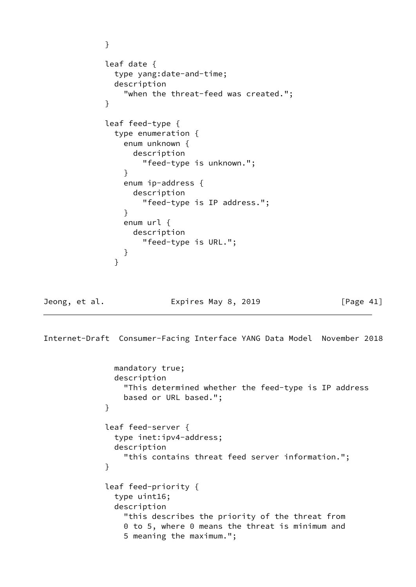```
 }
            leaf date {
              type yang:date-and-time;
              description
                "when the threat-feed was created.";
 }
            leaf feed-type {
              type enumeration {
                enum unknown {
                  description
                    "feed-type is unknown.";
 }
                enum ip-address {
                  description
                    "feed-type is IP address.";
 }
                enum url {
                  description
                    "feed-type is URL.";
 }
 }
Jeong, et al. Expires May 8, 2019 [Page 41]
Internet-Draft Consumer-Facing Interface YANG Data Model November 2018
              mandatory true;
              description
                "This determined whether the feed-type is IP address
                based or URL based.";
 }
            leaf feed-server {
              type inet:ipv4-address;
              description
                "this contains threat feed server information.";
 }
            leaf feed-priority {
              type uint16;
              description
                "this describes the priority of the threat from
                0 to 5, where 0 means the threat is minimum and
                5 meaning the maximum.";
```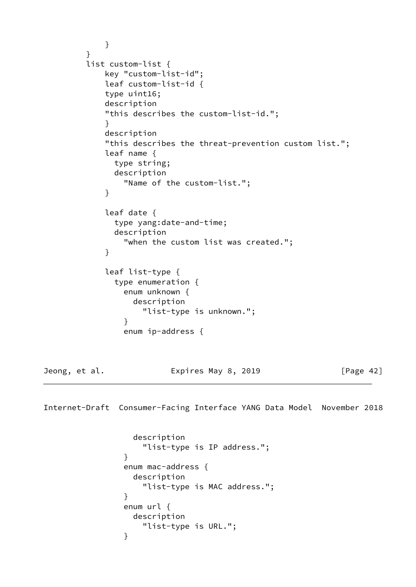```
 }
         }
         list custom-list {
            key "custom-list-id";
            leaf custom-list-id {
            type uint16;
            description
             "this describes the custom-list-id.";
 }
            description
             "this describes the threat-prevention custom list.";
            leaf name {
              type string;
              description
                "Name of the custom-list.";
 }
            leaf date {
              type yang:date-and-time;
              description
                "when the custom list was created.";
 }
            leaf list-type {
              type enumeration {
                enum unknown {
                  description
                    "list-type is unknown.";
 }
                enum ip-address {
Jeong, et al. Expires May 8, 2019 [Page 42]
Internet-Draft Consumer-Facing Interface YANG Data Model November 2018
                  description
                    "list-type is IP address.";
 }
                enum mac-address {
                  description
                    "list-type is MAC address.";
 }
                enum url {
                  description
                    "list-type is URL.";
```
}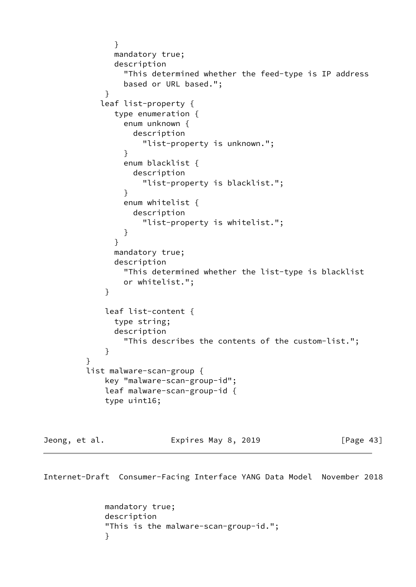```
 }
              mandatory true;
              description
                "This determined whether the feed-type is IP address
                based or URL based.";
 }
           leaf list-property {
              type enumeration {
                enum unknown {
                  description
                   "list-property is unknown.";
 }
                enum blacklist {
                 description
                   "list-property is blacklist.";
 }
                enum whitelist {
                 description
                   "list-property is whitelist.";
 }
 }
              mandatory true;
              description
                "This determined whether the list-type is blacklist
                or whitelist.";
 }
            leaf list-content {
              type string;
              description
                "This describes the contents of the custom-list.";
 }
 }
         list malware-scan-group {
            key "malware-scan-group-id";
            leaf malware-scan-group-id {
            type uint16;
```
Jeong, et al. **Expires May 8, 2019** [Page 43]

Internet-Draft Consumer-Facing Interface YANG Data Model November 2018

 mandatory true; description "This is the malware-scan-group-id."; }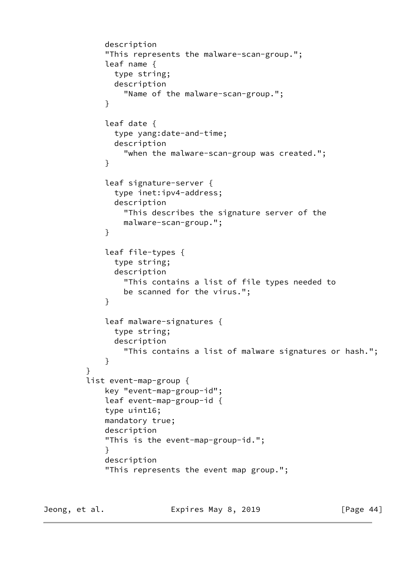```
 description
             "This represents the malware-scan-group.";
             leaf name {
               type string;
               description
                 "Name of the malware-scan-group.";
 }
             leaf date {
               type yang:date-and-time;
               description
                 "when the malware-scan-group was created.";
 }
             leaf signature-server {
               type inet:ipv4-address;
               description
                 "This describes the signature server of the
                 malware-scan-group.";
 }
             leaf file-types {
               type string;
               description
                 "This contains a list of file types needed to
                 be scanned for the virus.";
 }
             leaf malware-signatures {
               type string;
               description
                 "This contains a list of malware signatures or hash.";
 }
         list event-map-group {
             key "event-map-group-id";
             leaf event-map-group-id {
             type uint16;
             mandatory true;
             description
             "This is the event-map-group-id.";
 }
             description
             "This represents the event map group.";
```
}

Jeong, et al. **Expires May 8, 2019** [Page 44]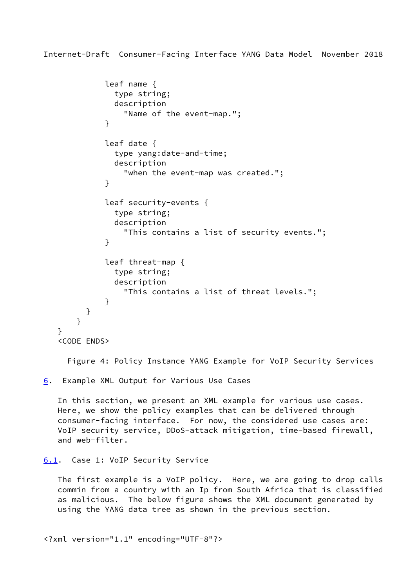```
 leaf name {
               type string;
               description
                 "Name of the event-map.";
 }
             leaf date {
               type yang:date-and-time;
               description
                 "when the event-map was created.";
 }
             leaf security-events {
               type string;
               description
                 "This contains a list of security events.";
 }
             leaf threat-map {
               type string;
               description
                 "This contains a list of threat levels.";
 }
         }
       }
   <CODE ENDS>
```
Figure 4: Policy Instance YANG Example for VoIP Security Services

<span id="page-50-0"></span>[6](#page-50-0). Example XML Output for Various Use Cases

 In this section, we present an XML example for various use cases. Here, we show the policy examples that can be delivered through consumer-facing interface. For now, the considered use cases are: VoIP security service, DDoS-attack mitigation, time-based firewall, and web-filter.

```
6.1. Case 1: VoIP Security Service
```
}

 The first example is a VoIP policy. Here, we are going to drop calls commin from a country with an Ip from South Africa that is classified as malicious. The below figure shows the XML document generated by using the YANG data tree as shown in the previous section.

<?xml version="1.1" encoding="UTF-8"?>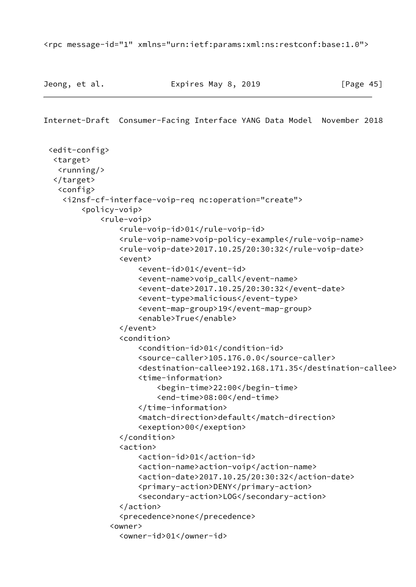<rpc message-id="1" xmlns="urn:ietf:params:xml:ns:restconf:base:1.0">

```
 <edit-config>
  <target>
  \langlerunning/>
  </target>
   <config>
    <i2nsf-cf-interface-voip-req nc:operation="create">
        <policy-voip>
            <rule-voip>
                 <rule-voip-id>01</rule-voip-id>
                 <rule-voip-name>voip-policy-example</rule-voip-name>
                 <rule-voip-date>2017.10.25/20:30:32</rule-voip-date>
                 <event>
                     <event-id>01</event-id>
                     <event-name>voip_call</event-name>
                     <event-date>2017.10.25/20:30:32</event-date>
                     <event-type>malicious</event-type>
                     <event-map-group>19</event-map-group>
                     <enable>True</enable>
                 </event>
                 <condition>
                     <condition-id>01</condition-id>
                     <source-caller>105.176.0.0</source-caller>
                     <destination-callee>192.168.171.35</destination-callee>
                     <time-information>
                         <begin-time>22:00</begin-time>
                         <end-time>08:00</end-time>
                     </time-information>
                     <match-direction>default</match-direction>
                     <exeption>00</exeption>
                 </condition>
                 <action>
                     <action-id>01</action-id>
                     <action-name>action-voip</action-name>
                     <action-date>2017.10.25/20:30:32</action-date>
                     <primary-action>DENY</primary-action>
                     <secondary-action>LOG</secondary-action>
                 </action>
                 <precedence>none</precedence>
               <owner>
                 <owner-id>01</owner-id>
```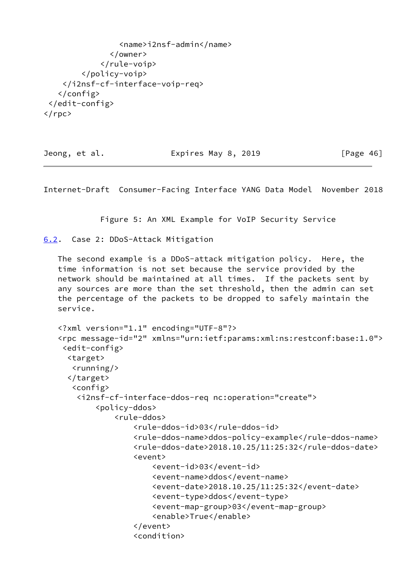<name>i2nsf-admin</name> </owner> </rule-voip> </policy-voip> </i2nsf-cf-interface-voip-req> </config> </edit-config>  $\langle$ /rpc $\rangle$ 

Jeong, et al. **Expires May 8, 2019** [Page 46]

<span id="page-52-1"></span>Internet-Draft Consumer-Facing Interface YANG Data Model November 2018

Figure 5: An XML Example for VoIP Security Service

<span id="page-52-0"></span>[6.2](#page-52-0). Case 2: DDoS-Attack Mitigation

 The second example is a DDoS-attack mitigation policy. Here, the time information is not set because the service provided by the network should be maintained at all times. If the packets sent by any sources are more than the set threshold, then the admin can set the percentage of the packets to be dropped to safely maintain the service.

```
 <?xml version="1.1" encoding="UTF-8"?>
 <rpc message-id="2" xmlns="urn:ietf:params:xml:ns:restconf:base:1.0">
  <edit-config>
   <target>
   \langlerunning/>
   </target>
    <config>
     <i2nsf-cf-interface-ddos-req nc:operation="create">
         <policy-ddos>
              <rule-ddos>
                  <rule-ddos-id>03</rule-ddos-id>
                  <rule-ddos-name>ddos-policy-example</rule-ddos-name>
                  <rule-ddos-date>2018.10.25/11:25:32</rule-ddos-date>
                  <event>
                      <event-id>03</event-id>
                      <event-name>ddos</event-name>
                      <event-date>2018.10.25/11:25:32</event-date>
                      <event-type>ddos</event-type>
                      <event-map-group>03</event-map-group>
                      <enable>True</enable>
                  </event>
                  <condition>
```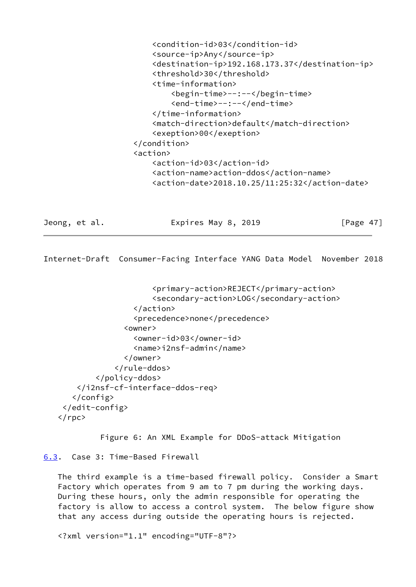```
 <condition-id>03</condition-id>
     <source-ip>Any</source-ip>
     <destination-ip>192.168.173.37</destination-ip>
     <threshold>30</threshold>
     <time-information>
         <begin-time>--:--</begin-time>
         <end-time>--:--</end-time>
     </time-information>
     <match-direction>default</match-direction>
     <exeption>00</exeption>
 </condition>
 <action>
     <action-id>03</action-id>
     <action-name>action-ddos</action-name>
     <action-date>2018.10.25/11:25:32</action-date>
```
Jeong, et al. Expires May 8, 2019 [Page 47]

<span id="page-53-1"></span>Internet-Draft Consumer-Facing Interface YANG Data Model November 2018

```
 <primary-action>REJECT</primary-action>
                       <secondary-action>LOG</secondary-action>
                  </action>
                  <precedence>none</precedence>
                <owner>
                  <owner-id>03</owner-id>
                  <name>i2nsf-admin</name>
                </owner>
              </rule-ddos>
         </policy-ddos>
     </i2nsf-cf-interface-ddos-req>
    </config>
  </edit-config>
\langlerpc>
```
Figure 6: An XML Example for DDoS-attack Mitigation

<span id="page-53-0"></span>[6.3](#page-53-0). Case 3: Time-Based Firewall

 The third example is a time-based firewall policy. Consider a Smart Factory which operates from 9 am to 7 pm during the working days. During these hours, only the admin responsible for operating the factory is allow to access a control system. The below figure show that any access during outside the operating hours is rejected.

<?xml version="1.1" encoding="UTF-8"?>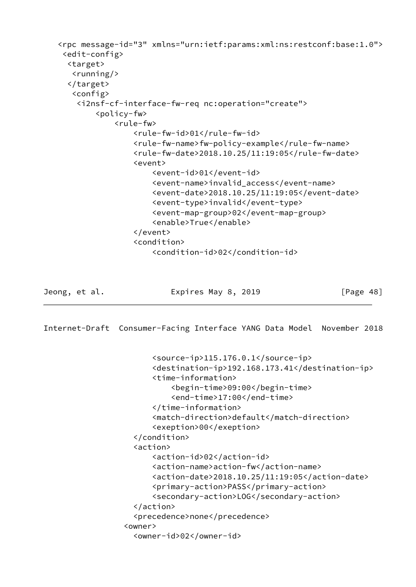```
 <rpc message-id="3" xmlns="urn:ietf:params:xml:ns:restconf:base:1.0">
  <edit-config>
   <target>
   \langlerunning/>
   </target>
    <config>
     <i2nsf-cf-interface-fw-req nc:operation="create">
         <policy-fw>
             <rule-fw>
                  <rule-fw-id>01</rule-fw-id>
                  <rule-fw-name>fw-policy-example</rule-fw-name>
                  <rule-fw-date>2018.10.25/11:19:05</rule-fw-date>
                  <event>
                      <event-id>01</event-id>
                      <event-name>invalid_access</event-name>
                      <event-date>2018.10.25/11:19:05</event-date>
                      <event-type>invalid</event-type>
                      <event-map-group>02</event-map-group>
                      <enable>True</enable>
                  </event>
                  <condition>
                      <condition-id>02</condition-id>
```
<span id="page-54-0"></span>

## Jeong, et al. **Expires May 8, 2019** [Page 48]

```
 <source-ip>115.176.0.1</source-ip>
       <destination-ip>192.168.173.41</destination-ip>
       <time-information>
           <begin-time>09:00</begin-time>
           <end-time>17:00</end-time>
       </time-information>
       <match-direction>default</match-direction>
       <exeption>00</exeption>
   </condition>
   <action>
       <action-id>02</action-id>
       <action-name>action-fw</action-name>
       <action-date>2018.10.25/11:19:05</action-date>
       <primary-action>PASS</primary-action>
       <secondary-action>LOG</secondary-action>
   </action>
   <precedence>none</precedence>
 <owner>
   <owner-id>02</owner-id>
```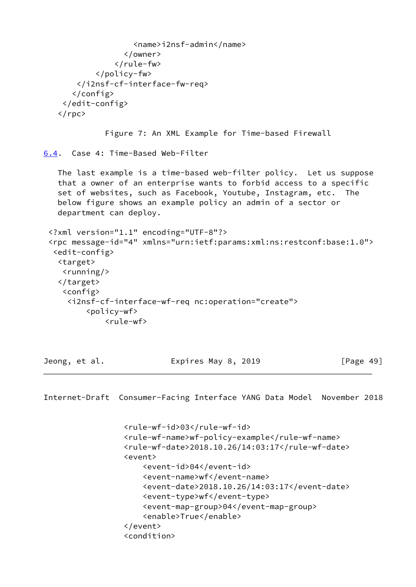```
 <name>i2nsf-admin</name>
                   </owner>
                 </rule-fw>
            </policy-fw>
        </i2nsf-cf-interface-fw-req>
       </config>
     </edit-config>
   \langle/rpc\rangle Figure 7: An XML Example for Time-based Firewall
6.4. Case 4: Time-Based Web-Filter
    The last example is a time-based web-filter policy. Let us suppose
    that a owner of an enterprise wants to forbid access to a specific
    set of websites, such as Facebook, Youtube, Instagram, etc. The
    below figure shows an example policy an admin of a sector or
    department can deploy.
  <?xml version="1.1" encoding="UTF-8"?>
  <rpc message-id="4" xmlns="urn:ietf:params:xml:ns:restconf:base:1.0">
   <edit-config>
    <target>
    <running/> </target>
     <config>
      <i2nsf-cf-interface-wf-req nc:operation="create">
          <policy-wf>
              <rule-wf>
```
<span id="page-55-1"></span>

Jeong, et al. Expires May 8, 2019 [Page 49]

```
 <rule-wf-id>03</rule-wf-id>
 <rule-wf-name>wf-policy-example</rule-wf-name>
 <rule-wf-date>2018.10.26/14:03:17</rule-wf-date>
 <event>
     <event-id>04</event-id>
     <event-name>wf</event-name>
     <event-date>2018.10.26/14:03:17</event-date>
     <event-type>wf</event-type>
     <event-map-group>04</event-map-group>
     <enable>True</enable>
 </event>
 <condition>
```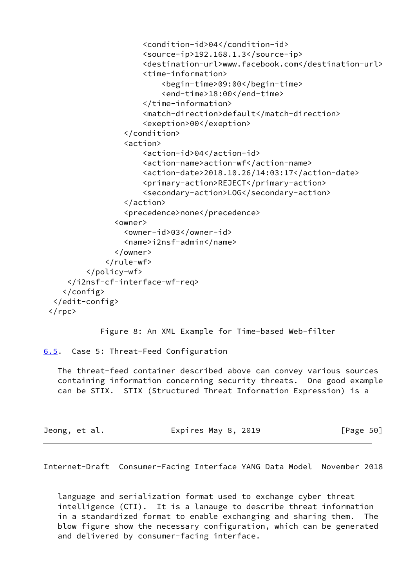```
 <condition-id>04</condition-id>
                      <source-ip>192.168.1.3</source-ip>
                      <destination-url>www.facebook.com</destination-url>
                      <time-information>
                           <begin-time>09:00</begin-time>
                           <end-time>18:00</end-time>
                      </time-information>
                      <match-direction>default</match-direction>
                      <exeption>00</exeption>
                  </condition>
                  <action>
                      <action-id>04</action-id>
                      <action-name>action-wf</action-name>
                      <action-date>2018.10.26/14:03:17</action-date>
                      <primary-action>REJECT</primary-action>
                      <secondary-action>LOG</secondary-action>
                  </action>
                  <precedence>none</precedence>
                <owner>
                  <owner-id>03</owner-id>
                  <name>i2nsf-admin</name>
                </owner>
              </rule-wf>
         </policy-wf>
     </i2nsf-cf-interface-wf-req>
    </config>
  </edit-config>
\langlerpc>
```

```
 Figure 8: An XML Example for Time-based Web-filter
```
<span id="page-56-0"></span>[6.5](#page-56-0). Case 5: Threat-Feed Configuration

 The threat-feed container described above can convey various sources containing information concerning security threats. One good example can be STIX. STIX (Structured Threat Information Expression) is a

| Jeong, et al. | Expires May 8, 2019 | [Page 50] |
|---------------|---------------------|-----------|
|               |                     |           |

<span id="page-56-1"></span>Internet-Draft Consumer-Facing Interface YANG Data Model November 2018

 language and serialization format used to exchange cyber threat intelligence (CTI). It is a lanauge to describe threat information in a standardized format to enable exchanging and sharing them. The blow figure show the necessary configuration, which can be generated and delivered by consumer-facing interface.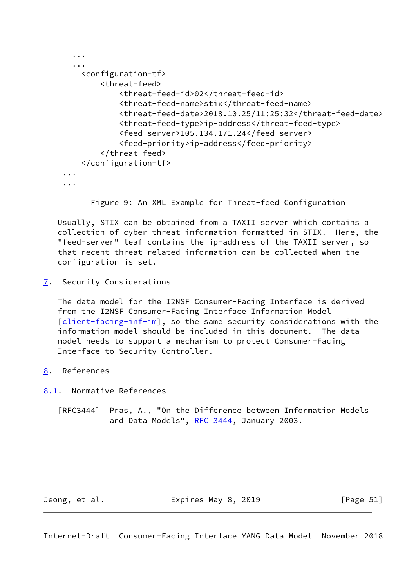```
 ...
   ...
     <configuration-tf>
         <threat-feed>
             <threat-feed-id>02</threat-feed-id>
             <threat-feed-name>stix</threat-feed-name>
             <threat-feed-date>2018.10.25/11:25:32</threat-feed-date>
             <threat-feed-type>ip-address</threat-feed-type>
             <feed-server>105.134.171.24</feed-server>
             <feed-priority>ip-address</feed-priority>
         </threat-feed>
     </configuration-tf>
 ...
 ...
```
Figure 9: An XML Example for Threat-feed Configuration

 Usually, STIX can be obtained from a TAXII server which contains a collection of cyber threat information formatted in STIX. Here, the "feed-server" leaf contains the ip-address of the TAXII server, so that recent threat related information can be collected when the configuration is set.

<span id="page-57-0"></span>[7](#page-57-0). Security Considerations

 The data model for the I2NSF Consumer-Facing Interface is derived from the I2NSF Consumer-Facing Interface Information Model [\[client-facing-inf-im](#page-58-2)], so the same security considerations with the information model should be included in this document. The data model needs to support a mechanism to protect Consumer-Facing Interface to Security Controller.

<span id="page-57-1"></span>[8](#page-57-1). References

<span id="page-57-2"></span>[8.1](#page-57-2). Normative References

 [RFC3444] Pras, A., "On the Difference between Information Models and Data Models", [RFC 3444](https://datatracker.ietf.org/doc/pdf/rfc3444), January 2003.

<span id="page-57-3"></span>Jeong, et al. Expires May 8, 2019 [Page 51]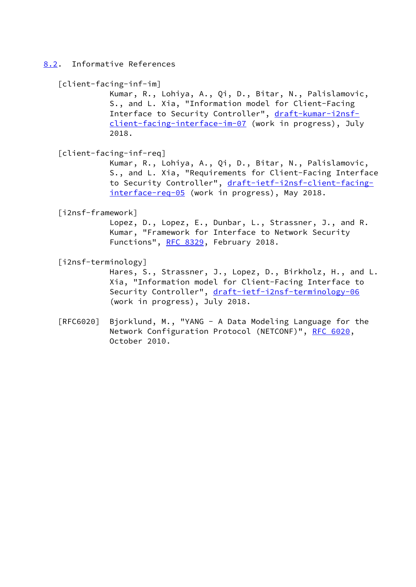<span id="page-58-0"></span>[8.2](#page-58-0). Informative References

```
 [client-facing-inf-im]
```
 Kumar, R., Lohiya, A., Qi, D., Bitar, N., Palislamovic, S., and L. Xia, "Information model for Client-Facing Interface to Security Controller", [draft-kumar-i2nsf](https://datatracker.ietf.org/doc/pdf/draft-kumar-i2nsf-client-facing-interface-im-07) [client-facing-interface-im-07](https://datatracker.ietf.org/doc/pdf/draft-kumar-i2nsf-client-facing-interface-im-07) (work in progress), July 2018.

<span id="page-58-4"></span>[client-facing-inf-req]

 Kumar, R., Lohiya, A., Qi, D., Bitar, N., Palislamovic, S., and L. Xia, "Requirements for Client-Facing Interface to Security Controller", [draft-ietf-i2nsf-client-facing](https://datatracker.ietf.org/doc/pdf/draft-ietf-i2nsf-client-facing-interface-req-05) [interface-req-05](https://datatracker.ietf.org/doc/pdf/draft-ietf-i2nsf-client-facing-interface-req-05) (work in progress), May 2018.

<span id="page-58-1"></span>[i2nsf-framework]

 Lopez, D., Lopez, E., Dunbar, L., Strassner, J., and R. Kumar, "Framework for Interface to Network Security Functions", [RFC 8329,](https://datatracker.ietf.org/doc/pdf/rfc8329) February 2018.

<span id="page-58-3"></span>[i2nsf-terminology]

 Hares, S., Strassner, J., Lopez, D., Birkholz, H., and L. Xia, "Information model for Client-Facing Interface to Security Controller", [draft-ietf-i2nsf-terminology-06](https://datatracker.ietf.org/doc/pdf/draft-ietf-i2nsf-terminology-06) (work in progress), July 2018.

 [RFC6020] Bjorklund, M., "YANG - A Data Modeling Language for the Network Configuration Protocol (NETCONF)", [RFC 6020](https://datatracker.ietf.org/doc/pdf/rfc6020), October 2010.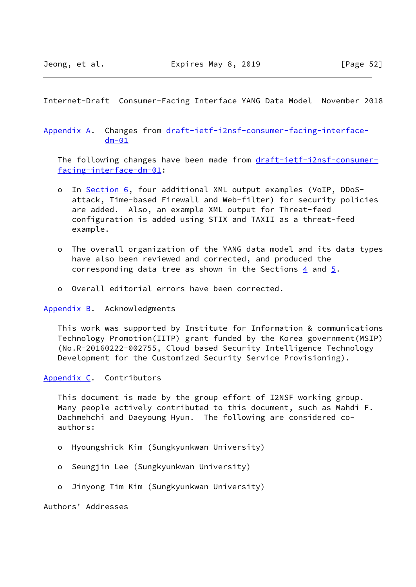## <span id="page-59-1"></span><span id="page-59-0"></span>[Appendix A.](#page-59-0) Changes from [draft-ietf-i2nsf-consumer-facing-interface](https://datatracker.ietf.org/doc/pdf/draft-ietf-i2nsf-consumer-facing-interface-dm-01)  $dm - 01$

The following changes have been made from [draft-ietf-i2nsf-consumer](https://datatracker.ietf.org/doc/pdf/draft-ietf-i2nsf-consumer-facing-interface-dm-01) [facing-interface-dm-01](https://datatracker.ietf.org/doc/pdf/draft-ietf-i2nsf-consumer-facing-interface-dm-01):

- o In [Section 6,](#page-50-0) four additional XML output examples (VoIP, DDoS attack, Time-based Firewall and Web-filter) for security policies are added. Also, an example XML output for Threat-feed configuration is added using STIX and TAXII as a threat-feed example.
- o The overall organization of the YANG data model and its data types have also been reviewed and corrected, and produced the corresponding data tree as shown in the Sections  $\frac{4}{9}$  and  $\frac{5}{9}$ .
- o Overall editorial errors have been corrected.

#### <span id="page-59-2"></span>[Appendix B.](#page-59-2) Acknowledgments

 This work was supported by Institute for Information & communications Technology Promotion(IITP) grant funded by the Korea government(MSIP) (No.R-20160222-002755, Cloud based Security Intelligence Technology Development for the Customized Security Service Provisioning).

### <span id="page-59-3"></span>[Appendix C.](#page-59-3) Contributors

 This document is made by the group effort of I2NSF working group. Many people actively contributed to this document, such as Mahdi F. Dachmehchi and Daeyoung Hyun. The following are considered co authors:

- o Hyoungshick Kim (Sungkyunkwan University)
- o Seungjin Lee (Sungkyunkwan University)
- o Jinyong Tim Kim (Sungkyunkwan University)

Authors' Addresses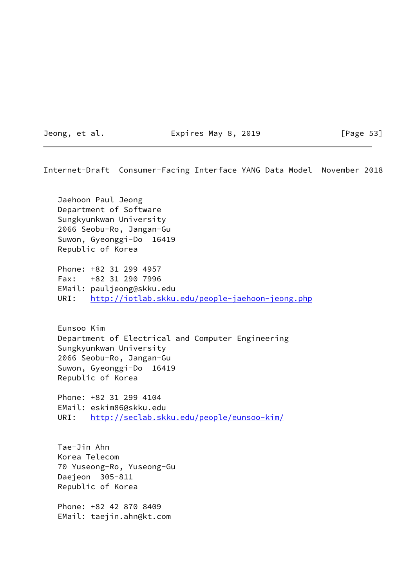Jeong, et al. **Expires May 8, 2019** [Page 53]

Internet-Draft Consumer-Facing Interface YANG Data Model November 2018

 Jaehoon Paul Jeong Department of Software Sungkyunkwan University 2066 Seobu-Ro, Jangan-Gu Suwon, Gyeonggi-Do 16419 Republic of Korea

 Phone: +82 31 299 4957 Fax: +82 31 290 7996 EMail: pauljeong@skku.edu URI: <http://iotlab.skku.edu/people-jaehoon-jeong.php>

 Eunsoo Kim Department of Electrical and Computer Engineering Sungkyunkwan University 2066 Seobu-Ro, Jangan-Gu Suwon, Gyeonggi-Do 16419 Republic of Korea

 Phone: +82 31 299 4104 EMail: eskim86@skku.edu URI: <http://seclab.skku.edu/people/eunsoo-kim/>

 Tae-Jin Ahn Korea Telecom 70 Yuseong-Ro, Yuseong-Gu Daejeon 305-811 Republic of Korea

 Phone: +82 42 870 8409 EMail: taejin.ahn@kt.com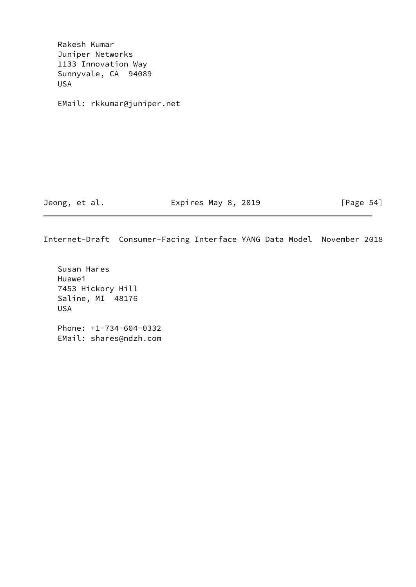Rakesh Kumar Juniper Networks 1133 Innovation Way Sunnyvale, CA 94089 USA EMail: rkkumar@juniper.net Jeong, et al. **Expires May 8, 2019** [Page 54]

Internet-Draft Consumer-Facing Interface YANG Data Model November 2018

 Susan Hares Huawei 7453 Hickory Hill Saline, MI 48176 USA Phone: +1-734-604-0332 EMail: shares@ndzh.com